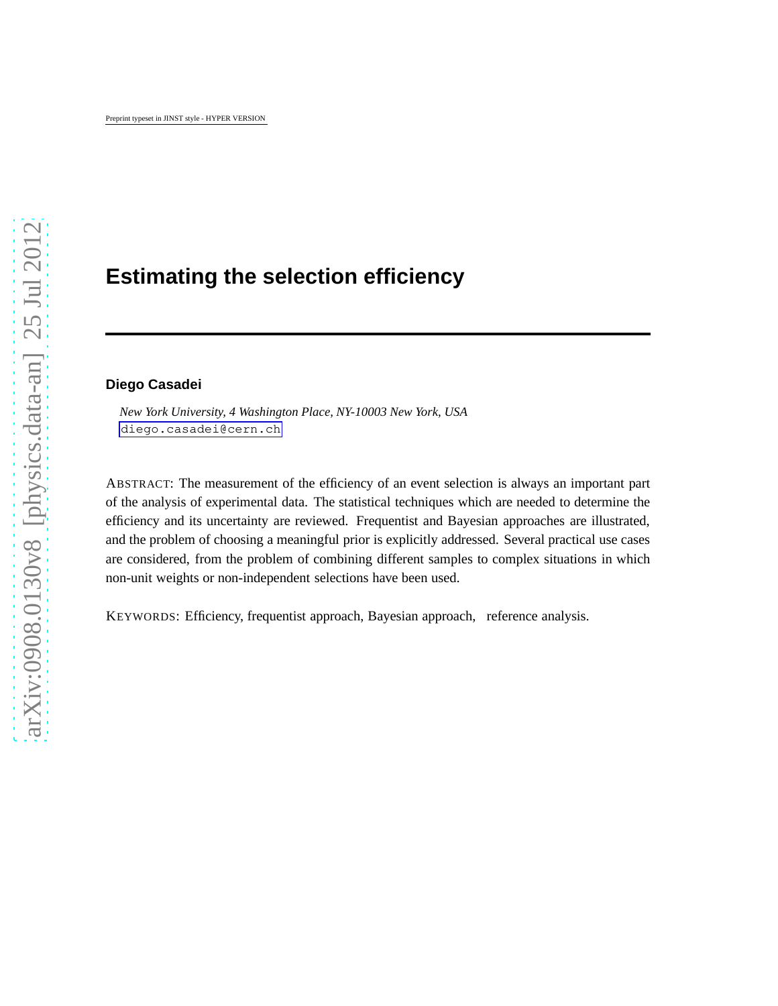# **Estimating the selection efficiency**

# **Diego Casadei**

*New York University, 4 Washington Place, NY-10003 New York, USA* [diego.casadei@cern.ch](mailto:diego.casadei@cern.ch)

ABSTRACT: The measurement of the efficiency of an event selection is always an important part of the analysis of experimental data. The statistical techniques which are needed to determine the efficiency and its uncertainty are reviewed. Frequentist and Bayesian approaches are illustrated, and the problem of choosing a meaningful prior is explicitly addressed. Several practical use cases are considered, from the problem of combining different samples to complex situations in which non-unit weights or non-independent selections have been used.

KEYWORDS: Efficiency, frequentist approach, Bayesian approach, reference analysis.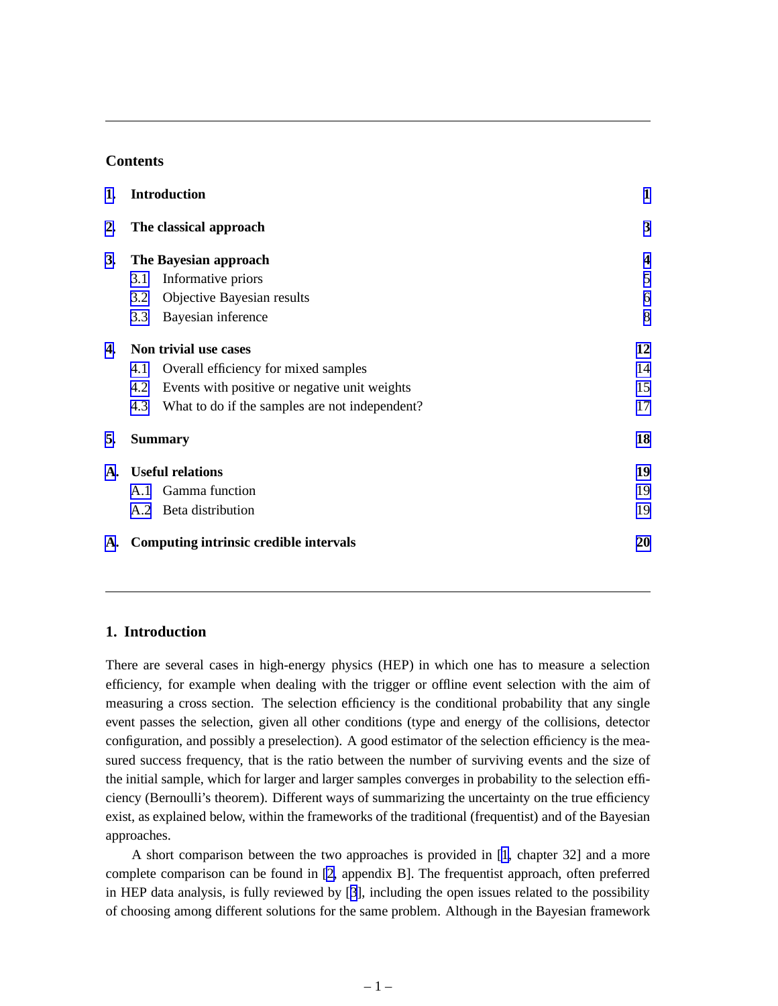# **Contents**

| 1. |                        | <b>Introduction</b>                            | $\mathbf{1}$            |  |  |  |
|----|------------------------|------------------------------------------------|-------------------------|--|--|--|
| 2. | The classical approach | 3                                              |                         |  |  |  |
| 3. |                        | The Bayesian approach                          | $\overline{\mathbf{4}}$ |  |  |  |
|    | 3.1                    | Informative priors                             | 5                       |  |  |  |
|    | 3.2                    | Objective Bayesian results                     | 6                       |  |  |  |
|    | 3.3                    | Bayesian inference                             | 8                       |  |  |  |
| 4. | Non trivial use cases  | 12                                             |                         |  |  |  |
|    | 4.1                    | Overall efficiency for mixed samples           | 14                      |  |  |  |
|    | 4.2                    | Events with positive or negative unit weights  | 15                      |  |  |  |
|    | 4.3                    | What to do if the samples are not independent? | 17                      |  |  |  |
| 5. | <b>Summary</b>         |                                                |                         |  |  |  |
|    | A. Useful relations    |                                                |                         |  |  |  |
|    |                        | A.1 Gamma function                             | 19                      |  |  |  |
|    |                        | A.2 Beta distribution                          | 19                      |  |  |  |
| A. |                        | Computing intrinsic credible intervals         | 20                      |  |  |  |

# **1. Introduction**

There are several cases in high-energy physics (HEP) in which one has to measure a selection efficiency, for example when dealing with the trigger or offline event selection with the aim of measuring a cross section. The selection efficiency is the conditional probability that any single event passes the selection, given all other conditions (type and energy of the collisions, detector configuration, and possibly a preselection). A good estimator of the selection efficiency is the measured success frequency, that is the ratio between the number of surviving events and the size of the initial sample, which for larger and larger samples converges in probability to the selection efficiency (Bernoulli's theorem). Different ways of summarizing the uncertainty on the true efficiency exist, as explained below, within the frameworks of the traditional (frequentist) and of the Bayesian approaches.

A short comparison between the two approaches is provided in [[1](#page-21-0), chapter 32] and a more complete comparison can be found in [\[2,](#page-21-0) appendix B]. The frequentist approach, often preferred in HEP data analysis, is fully reviewed by [[3](#page-21-0)], including the open issues related to the possibility of choosing among different solutions for the same problem. Although in the Bayesian framework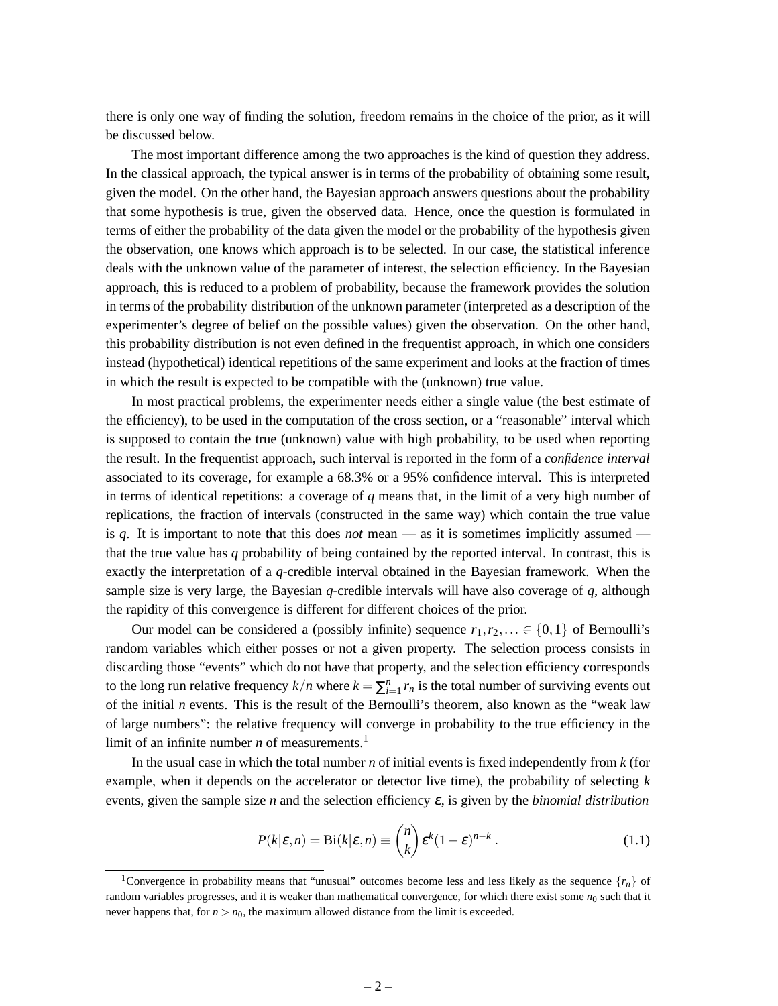<span id="page-2-0"></span>there is only one way of finding the solution, freedom remains in the choice of the prior, as it will be discussed below.

The most important difference among the two approaches is the kind of question they address. In the classical approach, the typical answer is in terms of the probability of obtaining some result, given the model. On the other hand, the Bayesian approach answers questions about the probability that some hypothesis is true, given the observed data. Hence, once the question is formulated in terms of either the probability of the data given the model or the probability of the hypothesis given the observation, one knows which approach is to be selected. In our case, the statistical inference deals with the unknown value of the parameter of interest, the selection efficiency. In the Bayesian approach, this is reduced to a problem of probability, because the framework provides the solution in terms of the probability distribution of the unknown parameter (interpreted as a description of the experimenter's degree of belief on the possible values) given the observation. On the other hand, this probability distribution is not even defined in the frequentist approach, in which one considers instead (hypothetical) identical repetitions of the same experiment and looks at the fraction of times in which the result is expected to be compatible with the (unknown) true value.

In most practical problems, the experimenter needs either a single value (the best estimate of the efficiency), to be used in the computation of the cross section, or a "reasonable" interval which is supposed to contain the true (unknown) value with high probability, to be used when reporting the result. In the frequentist approach, such interval is reported in the form of a *confidence interval* associated to its coverage, for example a 68.3% or a 95% confidence interval. This is interpreted in terms of identical repetitions: a coverage of  $q$  means that, in the limit of a very high number of replications, the fraction of intervals (constructed in the same way) which contain the true value is *q*. It is important to note that this does *not* mean — as it is sometimes implicitly assumed that the true value has *q* probability of being contained by the reported interval. In contrast, this is exactly the interpretation of a *q*-credible interval obtained in the Bayesian framework. When the sample size is very large, the Bayesian *q*-credible intervals will have also coverage of *q*, although the rapidity of this convergence is different for different choices of the prior.

Our model can be considered a (possibly infinite) sequence  $r_1, r_2, \ldots \in \{0, 1\}$  of Bernoulli's random variables which either posses or not a given property. The selection process consists in discarding those "events" which do not have that property, and the selection efficiency corresponds to the long run relative frequency  $k/n$  where  $k = \sum_{i=1}^{n} r_n$  is the total number of surviving events out of the initial *n* events. This is the result of the Bernoulli's theorem, also known as the "weak law of large numbers": the relative frequency will converge in probability to the true efficiency in the limit of an infinite number *n* of measurements.<sup>1</sup>

In the usual case in which the total number *n* of initial events is fixed independently from *k* (for example, when it depends on the accelerator or detector live time), the probability of selecting *k* events, given the sample size *n* and the selection efficiency <sup>ε</sup>, is given by the *binomial distribution*

$$
P(k|\varepsilon,n) = \text{Bi}(k|\varepsilon,n) \equiv \binom{n}{k} \varepsilon^k (1-\varepsilon)^{n-k} \,. \tag{1.1}
$$

<sup>&</sup>lt;sup>1</sup>Convergence in probability means that "unusual" outcomes become less and less likely as the sequence  $\{r_n\}$  of random variables progresses, and it is weaker than mathematical convergence, for which there exist some  $n_0$  such that it never happens that, for  $n > n_0$ , the maximum allowed distance from the limit is exceeded.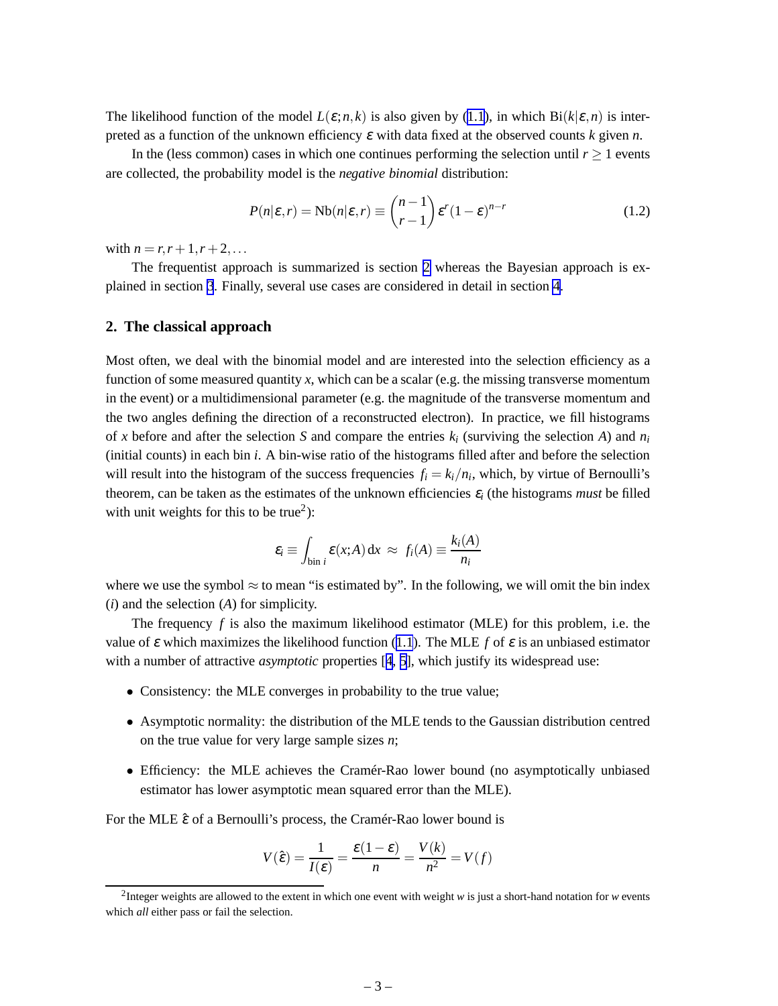<span id="page-3-0"></span>The likelihood function of the model  $L(\varepsilon;n,k)$  is also given by ([1.1](#page-2-0)), in which  $Bi(k|\varepsilon,n)$  is interpreted as a function of the unknown efficiency  $\varepsilon$  with data fixed at the observed counts  $k$  given  $n$ .

In the (less common) cases in which one continues performing the selection until  $r \geq 1$  events are collected, the probability model is the *negative binomial* distribution:

$$
P(n|\varepsilon,r) = Nb(n|\varepsilon,r) \equiv {n-1 \choose r-1} \varepsilon^r (1-\varepsilon)^{n-r}
$$
 (1.2)

with  $n = r, r + 1, r + 2,...$ 

The frequentist approach is summarized is section 2 whereas the Bayesian approach is explained in section [3](#page-4-0). Finally, several use cases are considered in detail in section [4.](#page-12-0)

## **2. The classical approach**

Most often, we deal with the binomial model and are interested into the selection efficiency as a function of some measured quantity *x*, which can be a scalar (e.g. the missing transverse momentum in the event) or a multidimensional parameter (e.g. the magnitude of the transverse momentum and the two angles defining the direction of a reconstructed electron). In practice, we fill histograms of *x* before and after the selection *S* and compare the entries  $k_i$  (surviving the selection *A*) and  $n_i$ (initial counts) in each bin *i*. A bin-wise ratio of the histograms filled after and before the selection will result into the histogram of the success frequencies  $f_i = k_i/n_i$ , which, by virtue of Bernoulli's theorem, can be taken as the estimates of the unknown efficiencies <sup>ε</sup>*<sup>i</sup>* (the histograms *must* be filled with unit weights for this to be true<sup>2</sup>):

$$
\varepsilon_i \equiv \int_{\text{bin }i} \varepsilon(x;A) \, \mathrm{d}x \, \approx \, f_i(A) \equiv \frac{k_i(A)}{n_i}
$$

where we use the symbol  $\approx$  to mean "is estimated by". In the following, we will omit the bin index (*i*) and the selection (*A*) for simplicity.

The frequency *f* is also the maximum likelihood estimator (MLE) for this problem, i.e. the value of  $\varepsilon$  which maximizes the likelihood function ([1.1](#page-2-0)). The MLE *f* of  $\varepsilon$  is an unbiased estimator with a number of attractive *asymptotic* properties [[4](#page-21-0), [5](#page-21-0)], which justify its widespread use:

- Consistency: the MLE converges in probability to the true value;
- Asymptotic normality: the distribution of the MLE tends to the Gaussian distribution centred on the true value for very large sample sizes *n*;
- Efficiency: the MLE achieves the Cramér-Rao lower bound (no asymptotically unbiased estimator has lower asymptotic mean squared error than the MLE).

For the MLE  $\hat{\varepsilon}$  of a Bernoulli's process, the Cramér-Rao lower bound is

$$
V(\hat{\varepsilon}) = \frac{1}{I(\varepsilon)} = \frac{\varepsilon(1-\varepsilon)}{n} = \frac{V(k)}{n^2} = V(f)
$$

<sup>2</sup> Integer weights are allowed to the extent in which one event with weight *w* is just a short-hand notation for *w* events which *all* either pass or fail the selection.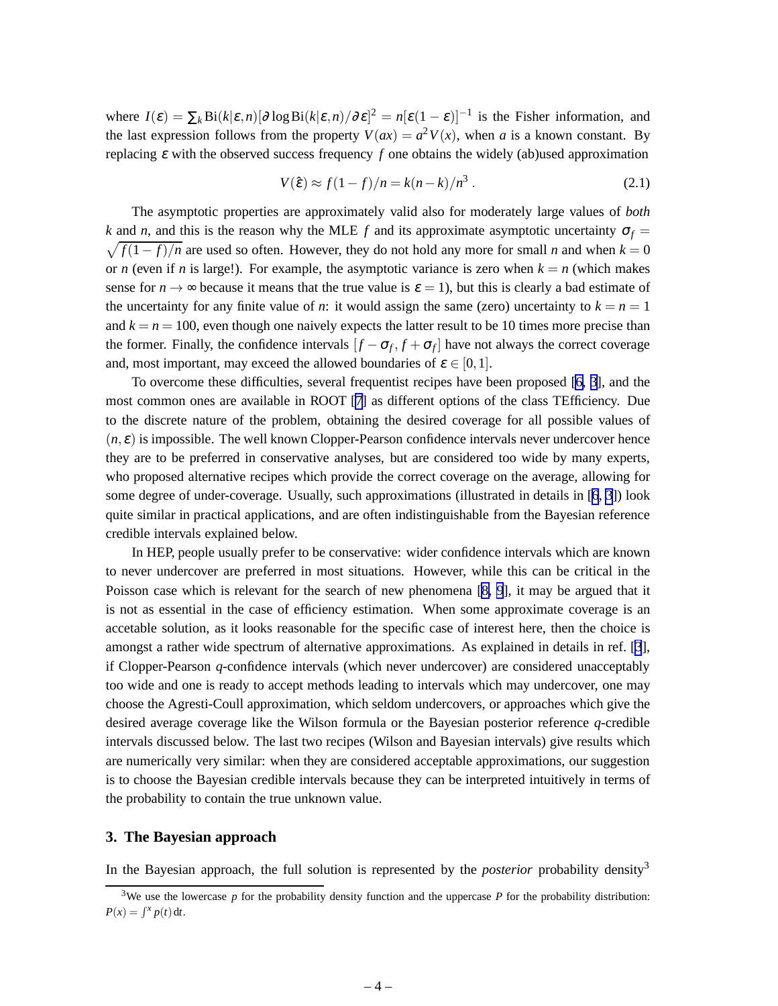<span id="page-4-0"></span>where  $I(\varepsilon) = \sum_k \text{Bi}(k|\varepsilon,n) [\partial \log \text{Bi}(k|\varepsilon,n)/\partial \varepsilon]^2 = n[\varepsilon(1-\varepsilon)]^{-1}$  is the Fisher information, and the last expression follows from the property  $V(ax) = a^2V(x)$ , when *a* is a known constant. By replacing  $\varepsilon$  with the observed success frequency  $f$  one obtains the widely (ab)used approximation

$$
V(\hat{\varepsilon}) \approx f(1-f)/n = k(n-k)/n^3.
$$
 (2.1)

The asymptotic properties are approximately valid also for moderately large values of *both k* and *n*, and this is the reason why the MLE *f* and its approximate asymptotic uncertainty  $\sigma_f$  =  $\sqrt{f(1-f)/n}$  are used so often. However, they do not hold any more for small *n* and when  $k = 0$ or *n* (even if *n* is large!). For example, the asymptotic variance is zero when  $k = n$  (which makes sense for  $n \to \infty$  because it means that the true value is  $\varepsilon = 1$ ), but this is clearly a bad estimate of the uncertainty for any finite value of *n*: it would assign the same (zero) uncertainty to  $k = n = 1$ and  $k = n = 100$ , even though one naively expects the latter result to be 10 times more precise than the former. Finally, the confidence intervals  $[f - \sigma_f, f + \sigma_f]$  have not always the correct coverage and, most important, may exceed the allowed boundaries of  $\varepsilon \in [0,1]$ .

To overcome these difficulties, several frequentist recipes have been proposed [\[6, 3](#page-21-0)], and the most common ones are available in ROOT [[7](#page-21-0)] as different options of the class TEfficiency. Due to the discrete nature of the problem, obtaining the desired coverage for all possible values of  $(n, \varepsilon)$  is impossible. The well known Clopper-Pearson confidence intervals never undercover hence they are to be preferred in conservative analyses, but are considered too wide by many experts, who proposed alternative recipes which provide the correct coverage on the average, allowing for some degree of under-coverage. Usually, such approximations (illustrated in details in [\[6](#page-21-0), [3](#page-21-0)]) look quite similar in practical applications, and are often indistinguishable from the Bayesian reference credible intervals explained below.

In HEP, people usually prefer to be conservative: wider confidence intervals which are known to never undercover are preferred in most situations. However, while this can be critical in the Poisson case which is relevant for the search of new phenomena [\[8, 9](#page-21-0)], it may be argued that it is not as essential in the case of efficiency estimation. When some approximate coverage is an accetable solution, as it looks reasonable for the specific case of interest here, then the choice is amongst a rather wide spectrum of alternative approximations. As explained in details in ref. [\[3](#page-21-0)], if Clopper-Pearson *q*-confidence intervals (which never undercover) are considered unacceptably too wide and one is ready to accept methods leading to intervals which may undercover, one may choose the Agresti-Coull approximation, which seldom undercovers, or approaches which give the desired average coverage like the Wilson formula or the Bayesian posterior reference *q*-credible intervals discussed below. The last two recipes (Wilson and Bayesian intervals) give results which are numerically very similar: when they are considered acceptable approximations, our suggestion is to choose the Bayesian credible intervals because they can be interpreted intuitively in terms of the probability to contain the true unknown value.

# **3. The Bayesian approach**

In the Bayesian approach, the full solution is represented by the *posterior* probability density<sup>3</sup>

<sup>&</sup>lt;sup>3</sup>We use the lowercase *p* for the probability density function and the uppercase *P* for the probability distribution:  $P(x) = \int^x p(t) dt$ .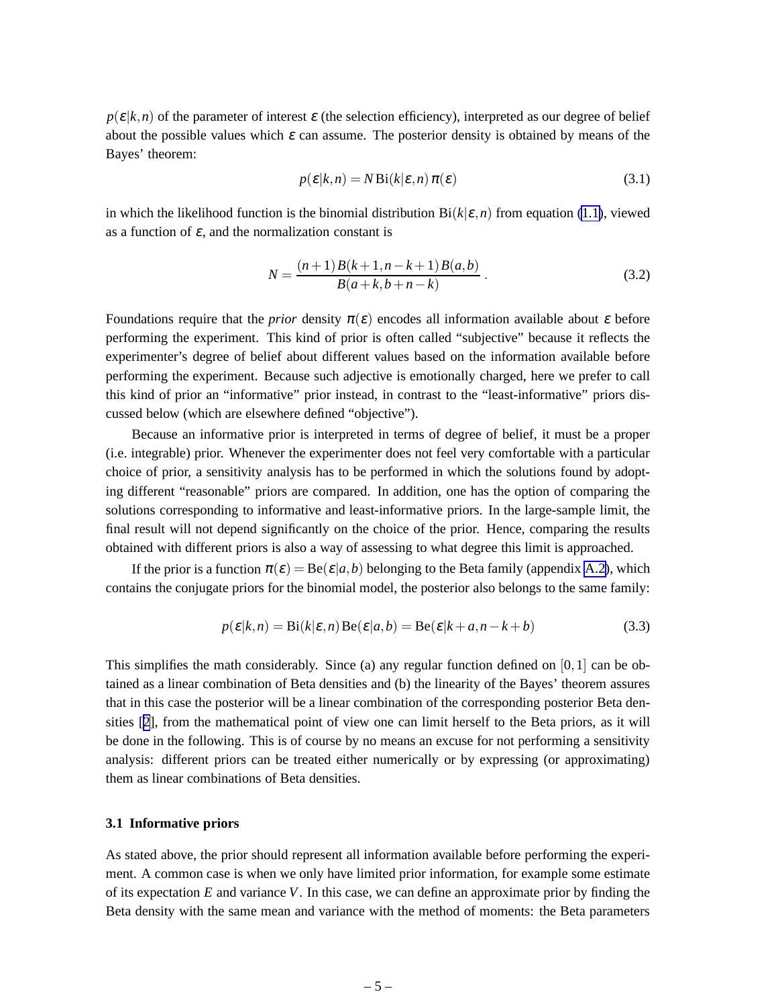<span id="page-5-0"></span> $p(\varepsilon|k,n)$  of the parameter of interest  $\varepsilon$  (the selection efficiency), interpreted as our degree of belief about the possible values which  $\varepsilon$  can assume. The posterior density is obtained by means of the Bayes' theorem:

$$
p(\varepsilon|k,n) = N \text{Bi}(k|\varepsilon,n) \pi(\varepsilon)
$$
\n(3.1)

in which the likelihood function is the binomial distribution Bi(*k*|<sup>ε</sup>,*n*) from equation [\(1.1\)](#page-2-0), viewed as a function of  $\varepsilon$ , and the normalization constant is

$$
N = \frac{(n+1)B(k+1, n-k+1)B(a,b)}{B(a+k, b+n-k)}.
$$
\n(3.2)

Foundations require that the *prior* density  $\pi(\varepsilon)$  encodes all information available about  $\varepsilon$  before performing the experiment. This kind of prior is often called "subjective" because it reflects the experimenter's degree of belief about different values based on the information available before performing the experiment. Because such adjective is emotionally charged, here we prefer to call this kind of prior an "informative" prior instead, in contrast to the "least-informative" priors discussed below (which are elsewhere defined "objective").

Because an informative prior is interpreted in terms of degree of belief, it must be a proper (i.e. integrable) prior. Whenever the experimenter does not feel very comfortable with a particular choice of prior, a sensitivity analysis has to be performed in which the solutions found by adopting different "reasonable" priors are compared. In addition, one has the option of comparing the solutions corresponding to informative and least-informative priors. In the large-sample limit, the final result will not depend significantly on the choice of the prior. Hence, comparing the results obtained with different priors is also a way of assessing to what degree this limit is approached.

If the prior is a function  $\pi(\varepsilon) = \text{Be}(\varepsilon|a,b)$  belonging to the Beta family (appendix [A.2\)](#page-19-0), which contains the conjugate priors for the binomial model, the posterior also belongs to the same family:

$$
p(\varepsilon|k,n) = \text{Bi}(k|\varepsilon,n)\,\text{Be}(\varepsilon|a,b) = \text{Be}(\varepsilon|k+a,n-k+b) \tag{3.3}
$$

This simplifies the math considerably. Since (a) any regular function defined on  $[0,1]$  can be obtained as a linear combination of Beta densities and (b) the linearity of the Bayes' theorem assures that in this case the posterior will be a linear combination of the corresponding posterior Beta densities [[2](#page-21-0)], from the mathematical point of view one can limit herself to the Beta priors, as it will be done in the following. This is of course by no means an excuse for not performing a sensitivity analysis: different priors can be treated either numerically or by expressing (or approximating) them as linear combinations of Beta densities.

## **3.1 Informative priors**

As stated above, the prior should represent all information available before performing the experiment. A common case is when we only have limited prior information, for example some estimate of its expectation *E* and variance *V*. In this case, we can define an approximate prior by finding the Beta density with the same mean and variance with the method of moments: the Beta parameters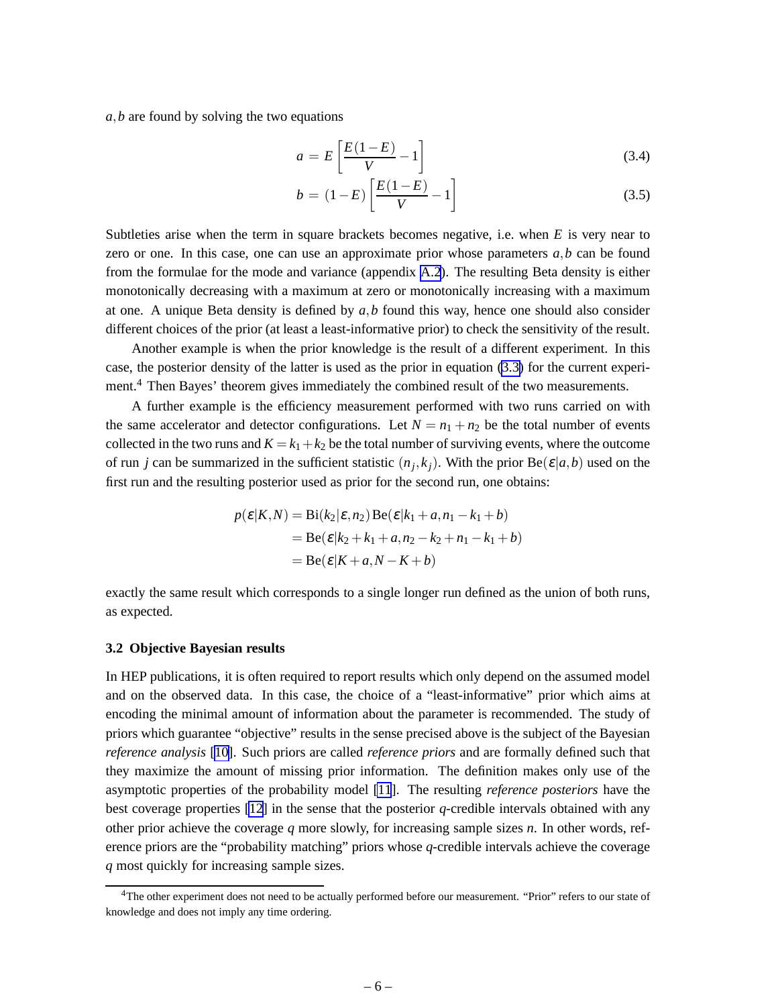<span id="page-6-0"></span>*a*,*b* are found by solving the two equations

$$
a = E\left[\frac{E(1-E)}{V} - 1\right] \tag{3.4}
$$

$$
b = (1 - E) \left[ \frac{E(1 - E)}{V} - 1 \right]
$$
 (3.5)

Subtleties arise when the term in square brackets becomes negative, i.e. when  $E$  is very near to zero or one. In this case, one can use an approximate prior whose parameters *a*,*b* can be found from the formulae for the mode and variance (appendix [A.2](#page-19-0)). The resulting Beta density is either monotonically decreasing with a maximum at zero or monotonically increasing with a maximum at one. A unique Beta density is defined by *a*,*b* found this way, hence one should also consider different choices of the prior (at least a least-informative prior) to check the sensitivity of the result.

Another example is when the prior knowledge is the result of a different experiment. In this case, the posterior density of the latter is used as the prior in equation [\(3.3\)](#page-5-0) for the current experiment.<sup>4</sup> Then Bayes' theorem gives immediately the combined result of the two measurements.

A further example is the efficiency measurement performed with two runs carried on with the same accelerator and detector configurations. Let  $N = n_1 + n_2$  be the total number of events collected in the two runs and  $K = k_1 + k_2$  be the total number of surviving events, where the outcome of run *j* can be summarized in the sufficient statistic  $(n_j, k_j)$ . With the prior  $Be(\varepsilon|a, b)$  used on the first run and the resulting posterior used as prior for the second run, one obtains:

$$
p(\varepsilon|K,N) = \text{Bi}(k_2|\varepsilon,n_2)\,\text{Be}(\varepsilon|k_1+a,n_1-k_1+b)
$$
  
= Be(\varepsilon|k\_2+k\_1+a,n\_2-k\_2+n\_1-k\_1+b)  
= Be(\varepsilon|K+a,N-K+b)

exactly the same result which corresponds to a single longer run defined as the union of both runs, as expected.

## **3.2 Objective Bayesian results**

In HEP publications, it is often required to report results which only depend on the assumed model and on the observed data. In this case, the choice of a "least-informative" prior which aims at encoding the minimal amount of information about the parameter is recommended. The study of priors which guarantee "objective" results in the sense precised above is the subject of the Bayesian *reference analysis* [\[10\]](#page-21-0). Such priors are called *reference priors* and are formally defined such that they maximize the amount of missing prior information. The definition makes only use of the asymptotic properties of the probability model [\[11](#page-21-0)]. The resulting *reference posteriors* have the best coverage properties [\[12](#page-21-0)] in the sense that the posterior *q*-credible intervals obtained with any other prior achieve the coverage *q* more slowly, for increasing sample sizes *n*. In other words, reference priors are the "probability matching" priors whose *q*-credible intervals achieve the coverage *q* most quickly for increasing sample sizes.

<sup>&</sup>lt;sup>4</sup>The other experiment does not need to be actually performed before our measurement. "Prior" refers to our state of knowledge and does not imply any time ordering.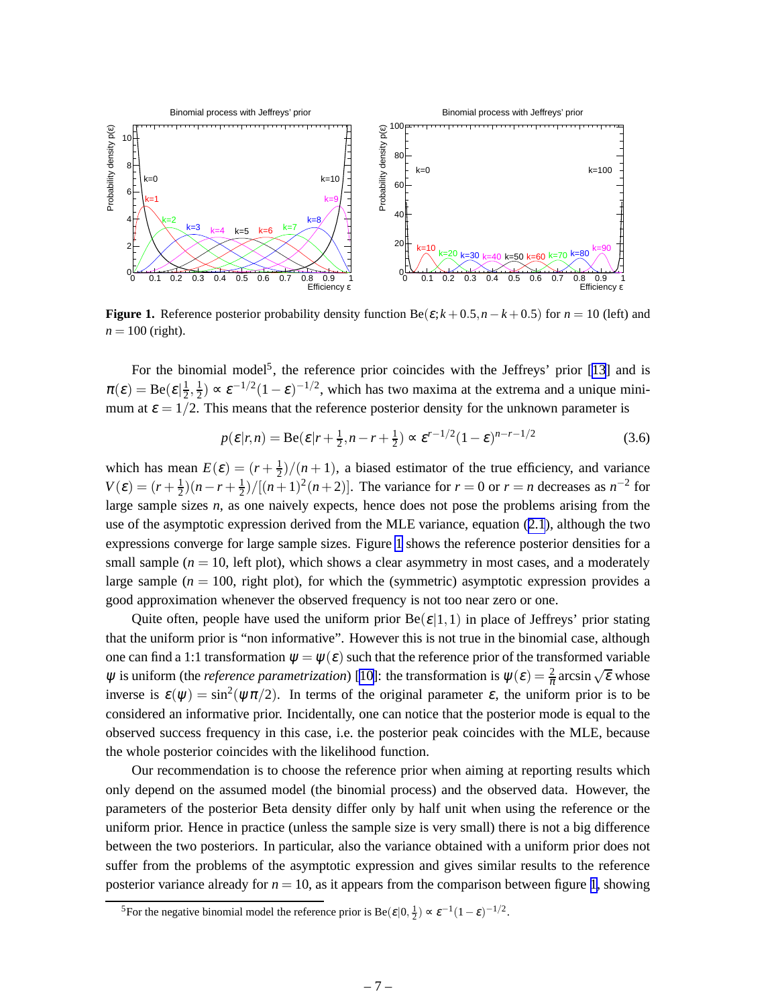

**Figure 1.** Reference posterior probability density function Be( $\varepsilon$ ; $k$  + 0.5, $n - k$  + 0.5) for  $n = 10$  (left) and  $n = 100$  (right).

For the binomial model<sup>5</sup>, the reference prior coincides with the Jeffreys' prior [\[13](#page-21-0)] and is  $\pi(\varepsilon) = \text{Be}(\varepsilon) \frac{1}{2}$  $\frac{1}{2}, \frac{1}{2}$  $\frac{1}{2}$   $\propto \varepsilon^{-1/2} (1 - \varepsilon)^{-1/2}$ , which has two maxima at the extrema and a unique minimum at  $\varepsilon = 1/2$ . This means that the reference posterior density for the unknown parameter is

$$
p(\varepsilon|r,n) = \text{Be}(\varepsilon|r + \frac{1}{2}, n-r+\frac{1}{2}) \propto \varepsilon^{r-1/2} (1-\varepsilon)^{n-r-1/2}
$$
\n(3.6)

which has mean  $E(\varepsilon) = (r + \frac{1}{2})$  $\frac{1}{2}$ /(*n* + 1), a biased estimator of the true efficiency, and variance  $V(\varepsilon) = (r + \frac{1}{2})$  $(\frac{1}{2})(n-r+\frac{1}{2})$  $\frac{1}{2}$ )/[ $(n+1)^2(n+2)$ ]. The variance for *r* = 0 or *r* = *n* decreases as *n*<sup>-2</sup> for large sample sizes *n*, as one naively expects, hence does not pose the problems arising from the use of the asymptotic expression derived from the MLE variance, equation ([2.1](#page-4-0)), although the two expressions converge for large sample sizes. Figure 1 shows the reference posterior densities for a small sample  $(n = 10, \text{ left plot})$ , which shows a clear asymmetry in most cases, and a moderately large sample  $(n = 100$ , right plot), for which the (symmetric) asymptotic expression provides a good approximation whenever the observed frequency is not too near zero or one.

Quite often, people have used the uniform prior  $Be(\varepsilon|1,1)$  in place of Jeffreys' prior stating that the uniform prior is "non informative". However this is not true in the binomial case, although one can find a 1:1 transformation  $\psi = \psi(\varepsilon)$  such that the reference prior of the transformed variable  $\psi$  is uniform (the *reference parametrization*) [\[10\]](#page-21-0): the transformation is  $\psi(\varepsilon) = \frac{2}{\pi} \arcsin \sqrt{\varepsilon}$  whose inverse is  $\varepsilon(\psi) = \sin^2(\psi \pi/2)$ . In terms of the original parameter  $\varepsilon$ , the uniform prior is to be considered an informative prior. Incidentally, one can notice that the posterior mode is equal to the observed success frequency in this case, i.e. the posterior peak coincides with the MLE, because the whole posterior coincides with the likelihood function.

Our recommendation is to choose the reference prior when aiming at reporting results which only depend on the assumed model (the binomial process) and the observed data. However, the parameters of the posterior Beta density differ only by half unit when using the reference or the uniform prior. Hence in practice (unless the sample size is very small) there is not a big difference between the two posteriors. In particular, also the variance obtained with a uniform prior does not suffer from the problems of the asymptotic expression and gives similar results to the reference posterior variance already for  $n = 10$ , as it appears from the comparison between figure 1, showing

<sup>&</sup>lt;sup>5</sup>For the negative binomial model the reference prior is  $Be(\varepsilon|0, \frac{1}{2}) \propto \varepsilon^{-1}(1-\varepsilon)^{-1/2}$ .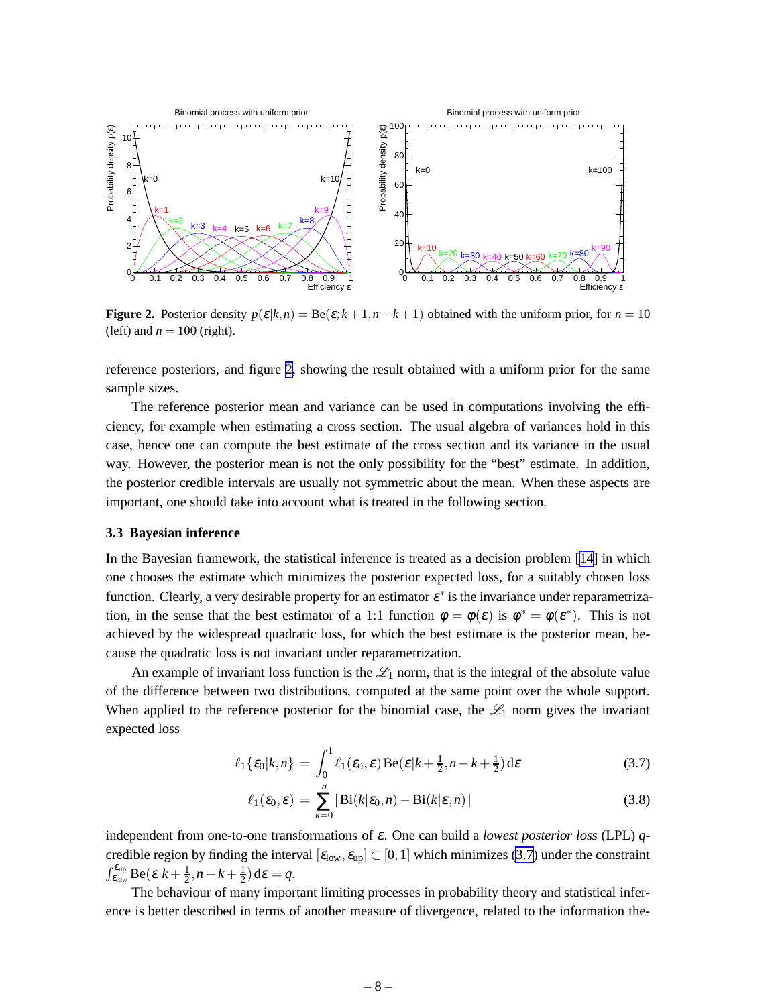<span id="page-8-0"></span>

**Figure 2.** Posterior density  $p(\varepsilon|k,n) = \text{Be}(\varepsilon; k+1,n-k+1)$  obtained with the uniform prior, for  $n = 10$ (left) and  $n = 100$  (right).

reference posteriors, and figure 2, showing the result obtained with a uniform prior for the same sample sizes.

The reference posterior mean and variance can be used in computations involving the efficiency, for example when estimating a cross section. The usual algebra of variances hold in this case, hence one can compute the best estimate of the cross section and its variance in the usual way. However, the posterior mean is not the only possibility for the "best" estimate. In addition, the posterior credible intervals are usually not symmetric about the mean. When these aspects are important, one should take into account what is treated in the following section.

#### **3.3 Bayesian inference**

In the Bayesian framework, the statistical inference is treated as a decision problem [\[14](#page-21-0)] in which one chooses the estimate which minimizes the posterior expected loss, for a suitably chosen loss function. Clearly, a very desirable property for an estimator  $\varepsilon^*$  is the invariance under reparametrization, in the sense that the best estimator of a 1:1 function  $\phi = \phi(\varepsilon)$  is  $\phi^* = \phi(\varepsilon^*)$ . This is not achieved by the widespread quadratic loss, for which the best estimate is the posterior mean, because the quadratic loss is not invariant under reparametrization.

An example of invariant loss function is the  $\mathscr{L}_1$  norm, that is the integral of the absolute value of the difference between two distributions, computed at the same point over the whole support. When applied to the reference posterior for the binomial case, the  $\mathscr{L}_1$  norm gives the invariant expected loss

$$
\ell_1\{\varepsilon_0|k,n\} = \int_0^1 \ell_1(\varepsilon_0,\varepsilon) \operatorname{Be}(\varepsilon|k+\tfrac{1}{2},n-k+\tfrac{1}{2}) d\varepsilon \tag{3.7}
$$

$$
\ell_1(\varepsilon_0, \varepsilon) = \sum_{k=0}^n | \text{Bi}(k | \varepsilon_0, n) - \text{Bi}(k | \varepsilon, n) | \qquad (3.8)
$$

independent from one-to-one transformations of <sup>ε</sup>. One can build a *lowest posterior loss* (LPL) *q*credible region by finding the interval  $[\epsilon_{\text{low}}, \epsilon_{\text{up}}] \subset [0, 1]$  which minimizes (3.7) under the constraint  $\int_{\mathcal{E}_{\rm low}}^{\mathcal{E}_{\rm up}}{\rm Be}(\boldsymbol{\varepsilon}|k+\frac{1}{2})$  $\frac{1}{2}$ , *n* − *k* +  $\frac{1}{2}$  $(\frac{1}{2})d\varepsilon = q.$ 

The behaviour of many important limiting processes in probability theory and statistical inference is better described in terms of another measure of divergence, related to the information the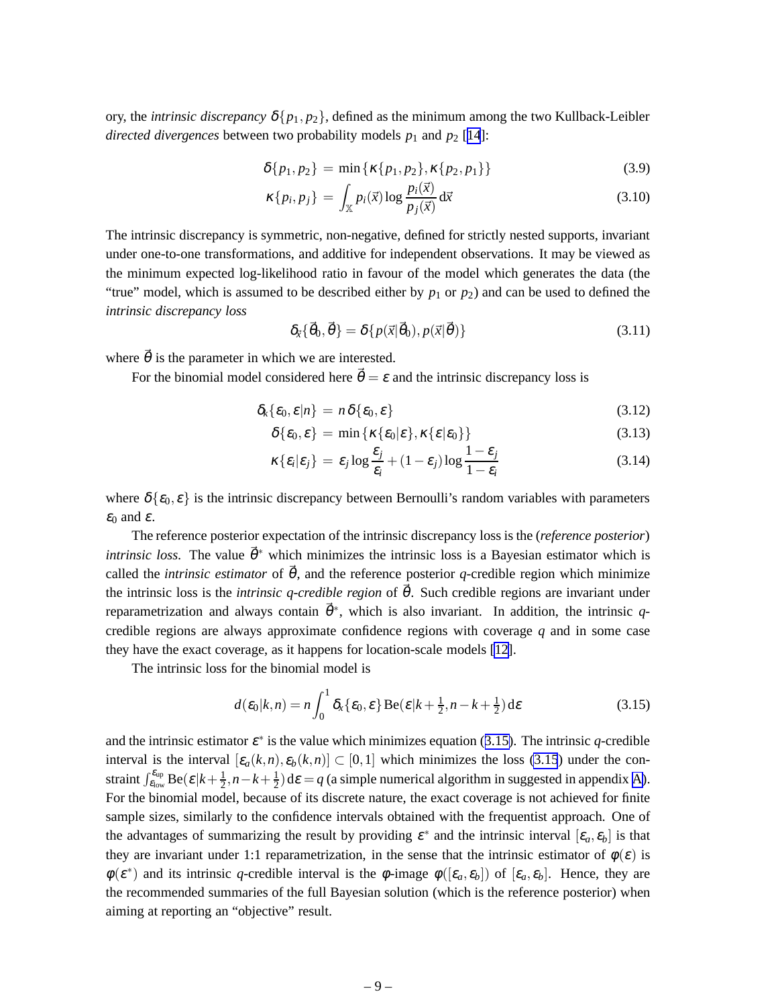<span id="page-9-0"></span>ory, the *intrinsic discrepancy*  $\delta\{p_1, p_2\}$ , defined as the minimum among the two Kullback-Leibler *directed divergences* between two probability models  $p_1$  and  $p_2$  [[14](#page-21-0)]:

$$
\delta\{p_1, p_2\} = \min\{\kappa\{p_1, p_2\}, \kappa\{p_2, p_1\}\}\
$$
\n(3.9)

$$
\kappa\{p_i, p_j\} = \int_{\mathbb{X}} p_i(\vec{x}) \log \frac{p_i(\vec{x})}{p_j(\vec{x})} d\vec{x}
$$
\n(3.10)

The intrinsic discrepancy is symmetric, non-negative, defined for strictly nested supports, invariant under one-to-one transformations, and additive for independent observations. It may be viewed as the minimum expected log-likelihood ratio in favour of the model which generates the data (the "true" model, which is assumed to be described either by  $p_1$  or  $p_2$ ) and can be used to defined the *intrinsic discrepancy loss*

$$
\delta_{\vec{x}}\{\vec{\theta}_0, \vec{\theta}\} = \delta\{p(\vec{x}|\vec{\theta}_0), p(\vec{x}|\vec{\theta})\}
$$
\n(3.11)

where  $\vec{\theta}$  is the parameter in which we are interested.

For the binomial model considered here  $\vec{\theta} = \varepsilon$  and the intrinsic discrepancy loss is

$$
\delta_k\{\varepsilon_0,\varepsilon|n\}=n\,\delta\{\varepsilon_0,\varepsilon\}\tag{3.12}
$$

$$
\delta\{\varepsilon_0,\varepsilon\} = \min\{\kappa\{\varepsilon_0|\varepsilon\},\kappa\{\varepsilon|\varepsilon_0\}\}\tag{3.13}
$$

$$
\kappa\{\varepsilon_i|\varepsilon_j\} = \varepsilon_j \log \frac{\varepsilon_j}{\varepsilon_i} + (1-\varepsilon_j) \log \frac{1-\varepsilon_j}{1-\varepsilon_i}
$$
(3.14)

where  $\delta{\{\epsilon_0, \epsilon\}}$  is the intrinsic discrepancy between Bernoulli's random variables with parameters  $\varepsilon_0$  and  $\varepsilon$ .

The reference posterior expectation of the intrinsic discrepancy loss is the (*reference posterior*) *intrinsic loss*. The value  $\vec{\theta}^*$  which minimizes the intrinsic loss is a Bayesian estimator which is called the *intrinsic estimator* of  $\vec{\theta}$ , and the reference posterior *q*-credible region which minimize the intrinsic loss is the *intrinsic q-credible region* of  $\vec{\theta}$ . Such credible regions are invariant under reparametrization and always contain  $\vec{\theta}^*$ , which is also invariant. In addition, the intrinsic qcredible regions are always approximate confidence regions with coverage *q* and in some case they have the exact coverage, as it happens for location-scale models [\[12](#page-21-0)].

The intrinsic loss for the binomial model is

$$
d(\varepsilon_0 | k, n) = n \int_0^1 \delta_x {\varepsilon_0, \varepsilon} \text{Be}(\varepsilon | k + \frac{1}{2}, n - k + \frac{1}{2}) d\varepsilon
$$
 (3.15)

and the intrinsic estimator  $\varepsilon^*$  is the value which minimizes equation (3.15). The intrinsic *q*-credible interval is the interval  $[\varepsilon_a(k,n), \varepsilon_b(k,n)] \subset [0,1]$  which minimizes the loss (3.15) under the constraint  $\int_{\varepsilon_{\text{low}}}^{\varepsilon_{\text{up}}} \text{Be}(\varepsilon|k+\frac{1}{2})$  $\frac{1}{2}$ , *n*−*k* +  $\frac{1}{2}$  $\frac{1}{2}$ ) d $\varepsilon = q$  (a simple numerical algorithm in suggested in appendix [A\)](#page-20-0). For the binomial model, because of its discrete nature, the exact coverage is not achieved for finite sample sizes, similarly to the confidence intervals obtained with the frequentist approach. One of the advantages of summarizing the result by providing  $\varepsilon^*$  and the intrinsic interval  $[\varepsilon_a, \varepsilon_b]$  is that they are invariant under 1:1 reparametrization, in the sense that the intrinsic estimator of  $\phi(\varepsilon)$  is  $\phi(\varepsilon^*)$  and its intrinsic *q*-credible interval is the  $\phi$ -image  $\phi([\varepsilon_a, \varepsilon_b])$  of  $[\varepsilon_a, \varepsilon_b]$ . Hence, they are the recommended summaries of the full Bayesian solution (which is the reference posterior) when aiming at reporting an "objective" result.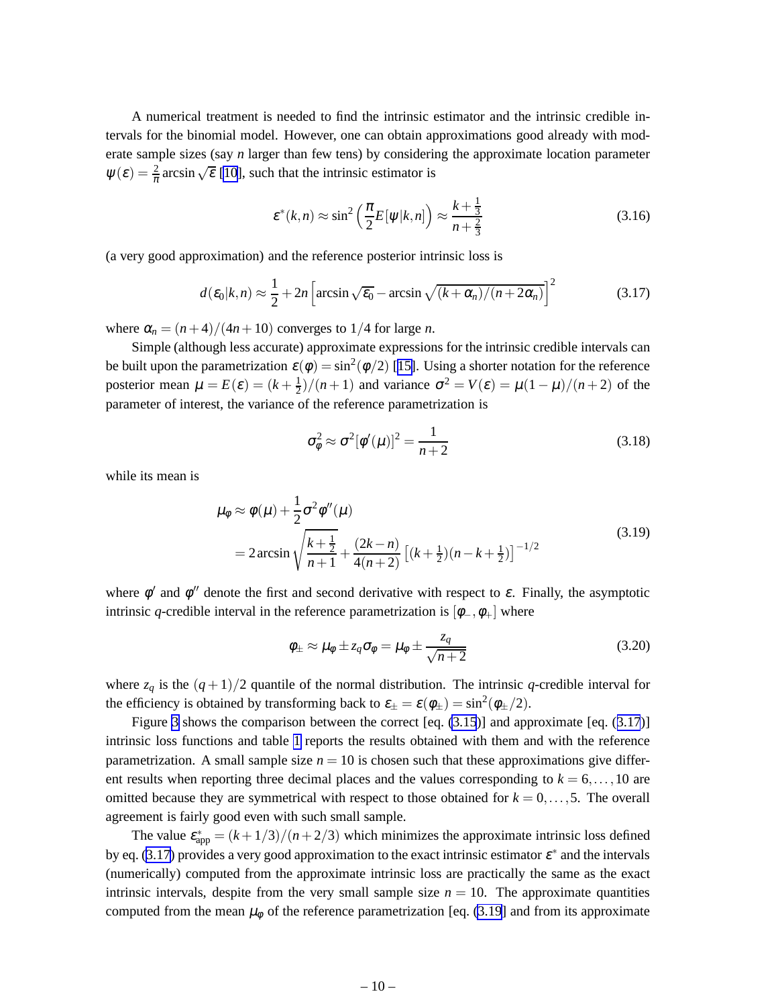<span id="page-10-0"></span>A numerical treatment is needed to find the intrinsic estimator and the intrinsic credible intervals for the binomial model. However, one can obtain approximations good already with moderate sample sizes (say *n* larger than few tens) by considering the approximate location parameter  $\psi(\varepsilon) = \frac{2}{\pi} \arcsin \sqrt{\varepsilon}$  [\[10\]](#page-21-0), such that the intrinsic estimator is

$$
\varepsilon^*(k,n) \approx \sin^2\left(\frac{\pi}{2}E[\psi|k,n]\right) \approx \frac{k+\frac{1}{3}}{n+\frac{2}{3}}\tag{3.16}
$$

(a very good approximation) and the reference posterior intrinsic loss is

$$
d(\varepsilon_0 | k, n) \approx \frac{1}{2} + 2n \left[ \arcsin \sqrt{\varepsilon_0} - \arcsin \sqrt{(k + \alpha_n)/(n + 2\alpha_n)} \right]^2 \tag{3.17}
$$

where  $\alpha_n = (n+4)/(4n+10)$  converges to 1/4 for large *n*.

Simple (although less accurate) approximate expressions for the intrinsic credible intervals can be built upon the parametrization  $\varepsilon(\phi) = \sin^2(\phi/2)$  [[15\]](#page-21-0). Using a shorter notation for the reference posterior mean  $\mu = E(\varepsilon) = (k + \frac{1}{2})$  $\frac{1}{2}$ / $(n+1)$  and variance  $\sigma^2 = V(\varepsilon) = \mu(1-\mu)/(n+2)$  of the parameter of interest, the variance of the reference parametrization is

$$
\sigma_{\phi}^2 \approx \sigma^2 [\phi'(\mu)]^2 = \frac{1}{n+2}
$$
\n(3.18)

while its mean is

$$
\mu_{\phi} \approx \phi(\mu) + \frac{1}{2}\sigma^2 \phi''(\mu)
$$
  
=  $2 \arcsin \sqrt{\frac{k + \frac{1}{2}}{n + 1}} + \frac{(2k - n)}{4(n + 2)} [(k + \frac{1}{2})(n - k + \frac{1}{2})]^{-1/2}$  (3.19)

where  $\phi'$  and  $\phi''$  denote the first and second derivative with respect to  $\varepsilon$ . Finally, the asymptotic intrinsic *q*-credible interval in the reference parametrization is  $[\phi_-, \phi_+]$  where

$$
\phi_{\pm} \approx \mu_{\phi} \pm z_q \sigma_{\phi} = \mu_{\phi} \pm \frac{z_q}{\sqrt{n+2}}
$$
(3.20)

where  $z_q$  is the  $(q+1)/2$  quantile of the normal distribution. The intrinsic q-credible interval for the efficiency is obtained by transforming back to  $\varepsilon_{\pm} = \varepsilon(\phi_{\pm}) = \sin^2(\phi_{\pm}/2)$ .

Figure [3](#page-11-0) shows the comparison between the correct [eq. [\(3.15](#page-9-0))] and approximate [eq. (3.17)] intrinsic loss functions and table [1](#page-11-0) reports the results obtained with them and with the reference parametrization. A small sample size  $n = 10$  is chosen such that these approximations give different results when reporting three decimal places and the values corresponding to  $k = 6, \ldots, 10$  are omitted because they are symmetrical with respect to those obtained for  $k = 0, \ldots, 5$ . The overall agreement is fairly good even with such small sample.

The value  $\varepsilon_{\rm app}^* = (k+1/3)/(n+2/3)$  which minimizes the approximate intrinsic loss defined by eq. (3.17) provides a very good approximation to the exact intrinsic estimator  $\varepsilon^*$  and the intervals (numerically) computed from the approximate intrinsic loss are practically the same as the exact intrinsic intervals, despite from the very small sample size  $n = 10$ . The approximate quantities computed from the mean  $\mu_{\phi}$  of the reference parametrization [eq. (3.19] and from its approximate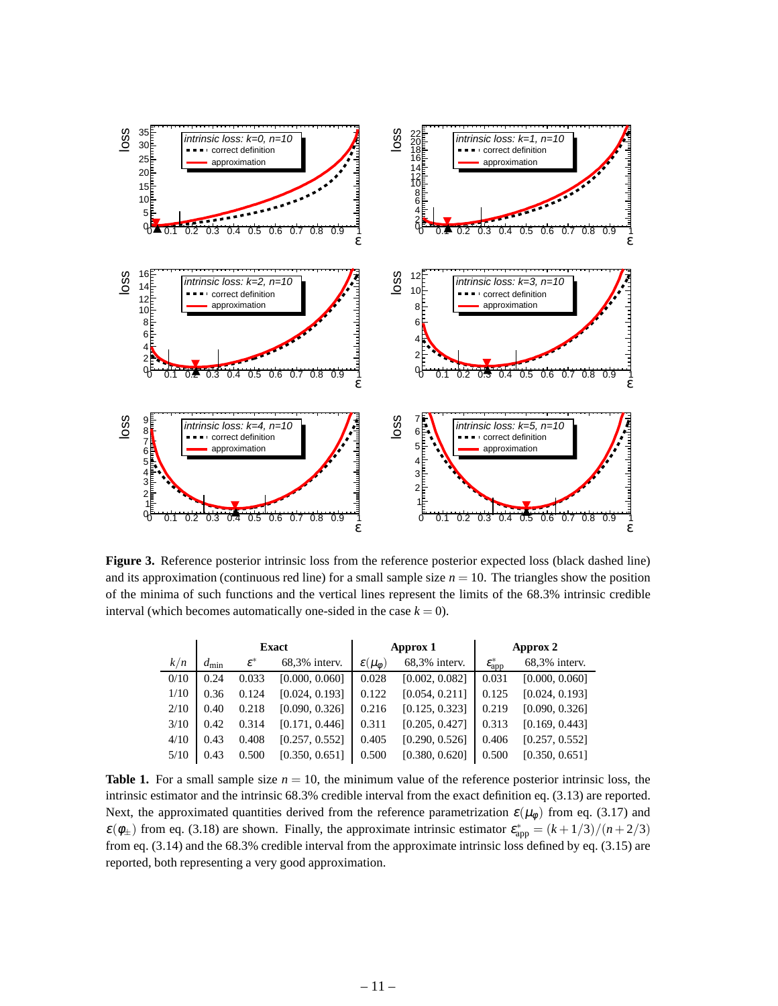<span id="page-11-0"></span>

**Figure 3.** Reference posterior intrinsic loss from the reference posterior expected loss (black dashed line) and its approximation (continuous red line) for a small sample size  $n = 10$ . The triangles show the position of the minima of such functions and the vertical lines represent the limits of the 68.3% intrinsic credible interval (which becomes automatically one-sided in the case  $k = 0$ ).

|      | <b>Exact</b> |                 |                | Approx 1                  |                | Approx 2                  |                |
|------|--------------|-----------------|----------------|---------------------------|----------------|---------------------------|----------------|
| k/n  | $d_{\min}$   | $\varepsilon^*$ | 68,3% interv.  | $\varepsilon(\mu_{\phi})$ | 68,3% interv.  | $\varepsilon_{\rm app}^*$ | 68,3% interv.  |
| 0/10 | 0.24         | 0.033           | [0.000, 0.060] | 0.028                     | [0.002, 0.082] | 0.031                     | [0.000, 0.060] |
| 1/10 | 0.36         | 0.124           | [0.024, 0.193] | 0.122                     | [0.054, 0.211] | 0.125                     | [0.024, 0.193] |
| 2/10 | 0.40         | 0.218           | [0.090, 0.326] | 0.216                     | [0.125, 0.323] | 0.219                     | [0.090, 0.326] |
| 3/10 | 0.42         | 0.314           | [0.171, 0.446] | 0.311                     | [0.205, 0.427] | 0.313                     | [0.169, 0.443] |
| 4/10 | 0.43         | 0.408           | [0.257, 0.552] | 0.405                     | [0.290, 0.526] | 0.406                     | [0.257, 0.552] |
| 5/10 | 0.43         | 0.500           | [0.350, 0.651] | 0.500                     | [0.380, 0.620] | 0.500                     | [0.350, 0.651] |

**Table 1.** For a small sample size  $n = 10$ , the minimum value of the reference posterior intrinsic loss, the intrinsic estimator and the intrinsic 68.3% credible interval from the exact definition eq. (3.13) are reported. Next, the approximated quantities derived from the reference parametrization  $\varepsilon(\mu_\phi)$  from eq. (3.17) and  $\varepsilon(\phi_{\pm})$  from eq. (3.18) are shown. Finally, the approximate intrinsic estimator  $\varepsilon_{app}^* = (k+1/3)/(n+2/3)$ from eq. (3.14) and the 68.3% credible interval from the approximate intrinsic loss defined by eq. (3.15) are reported, both representing a very good approximation.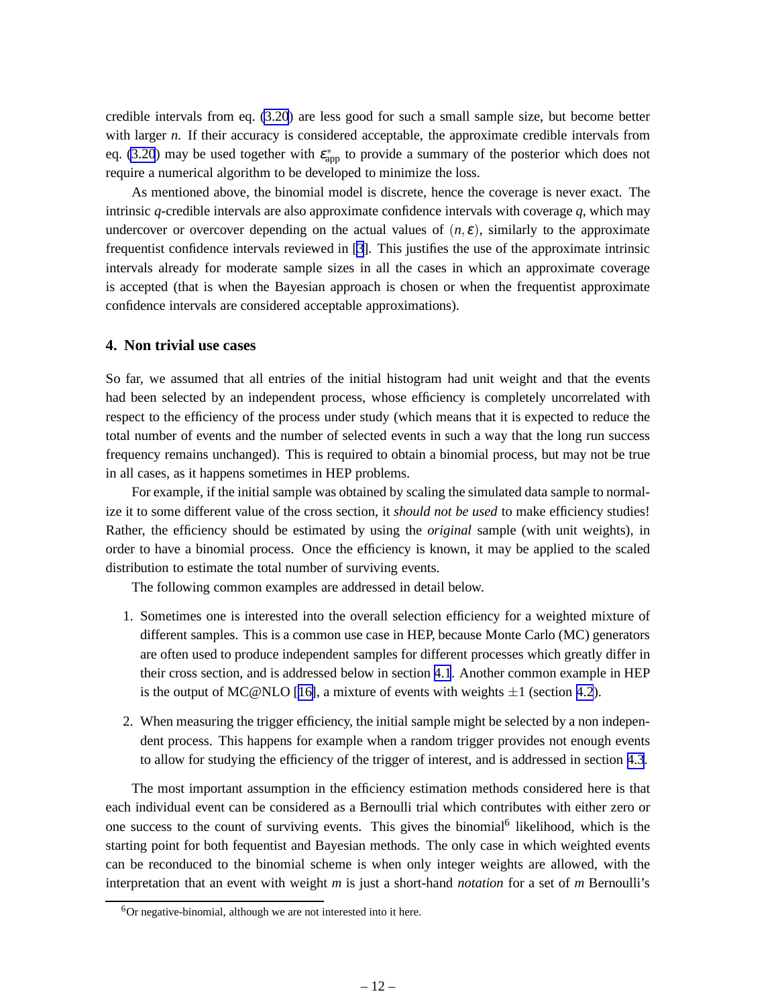<span id="page-12-0"></span>credible intervals from eq. [\(3.20](#page-10-0)) are less good for such a small sample size, but become better with larger *n*. If their accuracy is considered acceptable, the approximate credible intervals from eq. [\(3.20](#page-10-0)) may be used together with  $\varepsilon_{app}^*$  to provide a summary of the posterior which does not require a numerical algorithm to be developed to minimize the loss.

As mentioned above, the binomial model is discrete, hence the coverage is never exact. The intrinsic *q*-credible intervals are also approximate confidence intervals with coverage *q*, which may undercover or overcover depending on the actual values of  $(n, \varepsilon)$ , similarly to the approximate frequentist confidence intervals reviewed in [\[3](#page-21-0)]. This justifies the use of the approximate intrinsic intervals already for moderate sample sizes in all the cases in which an approximate coverage is accepted (that is when the Bayesian approach is chosen or when the frequentist approximate confidence intervals are considered acceptable approximations).

## **4. Non trivial use cases**

So far, we assumed that all entries of the initial histogram had unit weight and that the events had been selected by an independent process, whose efficiency is completely uncorrelated with respect to the efficiency of the process under study (which means that it is expected to reduce the total number of events and the number of selected events in such a way that the long run success frequency remains unchanged). This is required to obtain a binomial process, but may not be true in all cases, as it happens sometimes in HEP problems.

For example, if the initial sample was obtained by scaling the simulated data sample to normalize it to some different value of the cross section, it *should not be used* to make efficiency studies! Rather, the efficiency should be estimated by using the *original* sample (with unit weights), in order to have a binomial process. Once the efficiency is known, it may be applied to the scaled distribution to estimate the total number of surviving events.

The following common examples are addressed in detail below.

- 1. Sometimes one is interested into the overall selection efficiency for a weighted mixture of different samples. This is a common use case in HEP, because Monte Carlo (MC) generators are often used to produce independent samples for different processes which greatly differ in their cross section, and is addressed below in section [4.1](#page-14-0). Another common example in HEP is the output of MC@NLO [[16\]](#page-21-0), a mixture of events with weights  $\pm 1$  (section [4.2](#page-15-0)).
- 2. When measuring the trigger efficiency, the initial sample might be selected by a non independent process. This happens for example when a random trigger provides not enough events to allow for studying the efficiency of the trigger of interest, and is addressed in section [4.3](#page-17-0).

The most important assumption in the efficiency estimation methods considered here is that each individual event can be considered as a Bernoulli trial which contributes with either zero or one success to the count of surviving events. This gives the binomial<sup>6</sup> likelihood, which is the starting point for both fequentist and Bayesian methods. The only case in which weighted events can be reconduced to the binomial scheme is when only integer weights are allowed, with the interpretation that an event with weight *m* is just a short-hand *notation* for a set of *m* Bernoulli's

 ${}^{6}$ Or negative-binomial, although we are not interested into it here.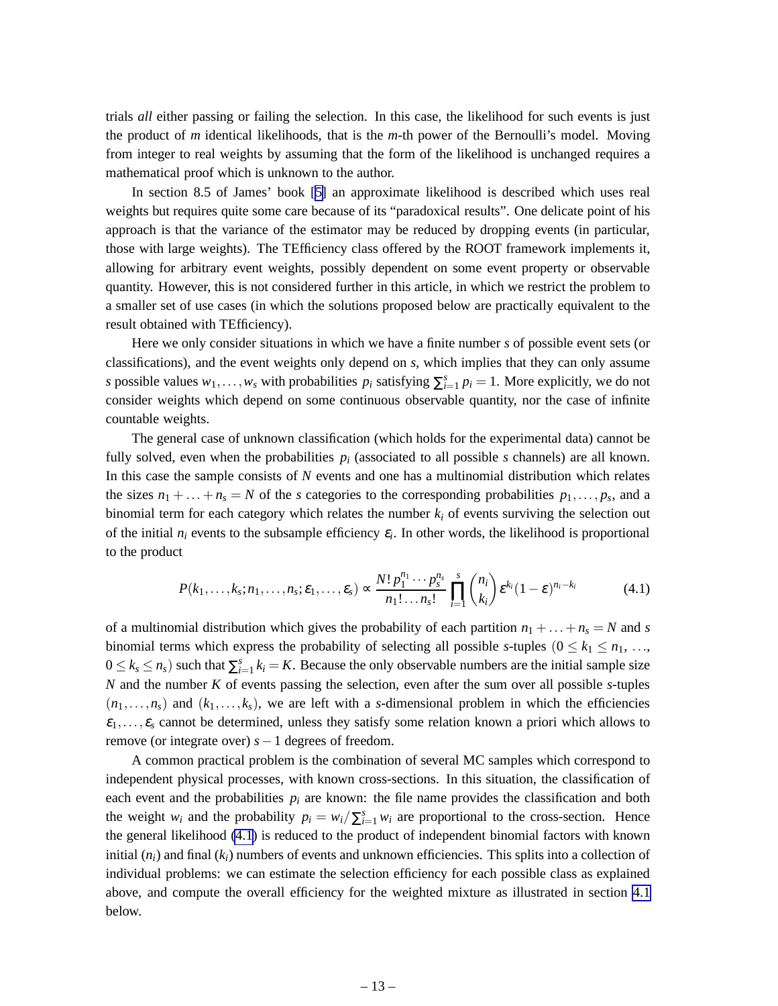<span id="page-13-0"></span>trials *all* either passing or failing the selection. In this case, the likelihood for such events is just the product of *m* identical likelihoods, that is the *m*-th power of the Bernoulli's model. Moving from integer to real weights by assuming that the form of the likelihood is unchanged requires a mathematical proof which is unknown to the author.

In section 8.5 of James' book [\[5\]](#page-21-0) an approximate likelihood is described which uses real weights but requires quite some care because of its "paradoxical results". One delicate point of his approach is that the variance of the estimator may be reduced by dropping events (in particular, those with large weights). The TEfficiency class offered by the ROOT framework implements it, allowing for arbitrary event weights, possibly dependent on some event property or observable quantity. However, this is not considered further in this article, in which we restrict the problem to a smaller set of use cases (in which the solutions proposed below are practically equivalent to the result obtained with TEfficiency).

Here we only consider situations in which we have a finite number *s* of possible event sets (or classifications), and the event weights only depend on *s*, which implies that they can only assume *s* possible values  $w_1, \ldots, w_s$  with probabilities  $p_i$  satisfying  $\sum_{i=1}^s p_i = 1$ . More explicitly, we do not consider weights which depend on some continuous observable quantity, nor the case of infinite countable weights.

The general case of unknown classification (which holds for the experimental data) cannot be fully solved, even when the probabilities  $p_i$  (associated to all possible *s* channels) are all known. In this case the sample consists of *N* events and one has a multinomial distribution which relates the sizes  $n_1 + \ldots + n_s = N$  of the *s* categories to the corresponding probabilities  $p_1, \ldots, p_s$ , and a binomial term for each category which relates the number  $k_i$  of events surviving the selection out of the initial  $n_i$  events to the subsample efficiency  $\varepsilon_i$ . In other words, the likelihood is proportional to the product

$$
P(k_1,\ldots,k_s;n_1,\ldots,n_s;\varepsilon_1,\ldots,\varepsilon_s) \propto \frac{N! \, p_1^{n_1} \cdots p_s^{n_s}}{n_1! \ldots n_s!} \prod_{i=1}^s \binom{n_i}{k_i} \varepsilon^{k_i} (1-\varepsilon)^{n_i-k_i} \tag{4.1}
$$

of a multinomial distribution which gives the probability of each partition  $n_1 + \ldots + n_s = N$  and *s* binomial terms which express the probability of selecting all possible *s*-tuples ( $0 \le k_1 \le n_1, \ldots$ ,  $0 \le k_s \le n_s$ ) such that  $\sum_{i=1}^s k_i = K$ . Because the only observable numbers are the initial sample size *N* and the number *K* of events passing the selection, even after the sum over all possible *s*-tuples  $(n_1,...,n_s)$  and  $(k_1,...,k_s)$ , we are left with a *s*-dimensional problem in which the efficiencies  $\varepsilon_1, \ldots, \varepsilon_s$  cannot be determined, unless they satisfy some relation known a priori which allows to remove (or integrate over) *s*−1 degrees of freedom.

A common practical problem is the combination of several MC samples which correspond to independent physical processes, with known cross-sections. In this situation, the classification of each event and the probabilities  $p_i$  are known: the file name provides the classification and both the weight  $w_i$  and the probability  $p_i = w_i / \sum_{i=1}^s w_i$  are proportional to the cross-section. Hence the general likelihood (4.1) is reduced to the product of independent binomial factors with known initial  $(n_i)$  and final  $(k_i)$  numbers of events and unknown efficiencies. This splits into a collection of individual problems: we can estimate the selection efficiency for each possible class as explained above, and compute the overall efficiency for the weighted mixture as illustrated in section [4.1](#page-14-0) below.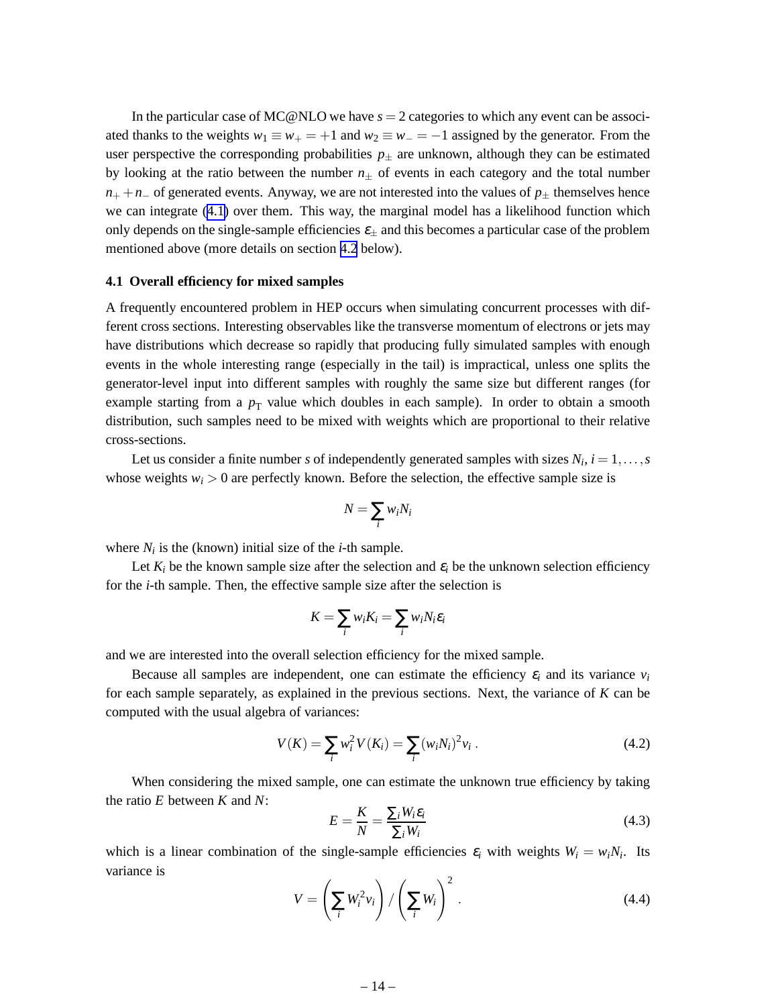<span id="page-14-0"></span>In the particular case of MC@NLO we have *s* = 2 categories to which any event can be associated thanks to the weights  $w_1 \equiv w_+ = +1$  and  $w_2 \equiv w_- = -1$  assigned by the generator. From the user perspective the corresponding probabilities  $p_{\pm}$  are unknown, although they can be estimated by looking at the ratio between the number  $n_{\pm}$  of events in each category and the total number  $n_{+} + n_{-}$  of generated events. Anyway, we are not interested into the values of  $p_{\pm}$  themselves hence we can integrate ([4.1\)](#page-13-0) over them. This way, the marginal model has a likelihood function which only depends on the single-sample efficiencies  $\varepsilon_{+}$  and this becomes a particular case of the problem mentioned above (more details on section [4.2](#page-15-0) below).

#### **4.1 Overall efficiency for mixed samples**

A frequently encountered problem in HEP occurs when simulating concurrent processes with different cross sections. Interesting observables like the transverse momentum of electrons or jets may have distributions which decrease so rapidly that producing fully simulated samples with enough events in the whole interesting range (especially in the tail) is impractical, unless one splits the generator-level input into different samples with roughly the same size but different ranges (for example starting from a  $p<sub>T</sub>$  value which doubles in each sample). In order to obtain a smooth distribution, such samples need to be mixed with weights which are proportional to their relative cross-sections.

Let us consider a finite number *s* of independently generated samples with sizes  $N_i$ ,  $i = 1, \ldots, s$ whose weights  $w_i > 0$  are perfectly known. Before the selection, the effective sample size is

$$
N=\sum_i w_i N_i
$$

where  $N_i$  is the (known) initial size of the *i*-th sample.

Let  $K_i$  be the known sample size after the selection and  $\varepsilon_i$  be the unknown selection efficiency for the *i*-th sample. Then, the effective sample size after the selection is

$$
K = \sum_{i} w_i K_i = \sum_{i} w_i N_i \varepsilon_i
$$

and we are interested into the overall selection efficiency for the mixed sample.

Because all samples are independent, one can estimate the efficiency  $\varepsilon_i$  and its variance  $v_i$ for each sample separately, as explained in the previous sections. Next, the variance of *K* can be computed with the usual algebra of variances:

$$
V(K) = \sum_{i} w_i^2 V(K_i) = \sum_{i} (w_i N_i)^2 v_i.
$$
 (4.2)

When considering the mixed sample, one can estimate the unknown true efficiency by taking the ratio *E* between *K* and *N*:

$$
E = \frac{K}{N} = \frac{\sum_{i} W_{i} \varepsilon_{i}}{\sum_{i} W_{i}}
$$
(4.3)

which is a linear combination of the single-sample efficiencies  $\varepsilon_i$  with weights  $W_i = w_i N_i$ . Its variance is

$$
V = \left(\sum_{i} W_i^2 v_i\right) / \left(\sum_{i} W_i\right)^2.
$$
 (4.4)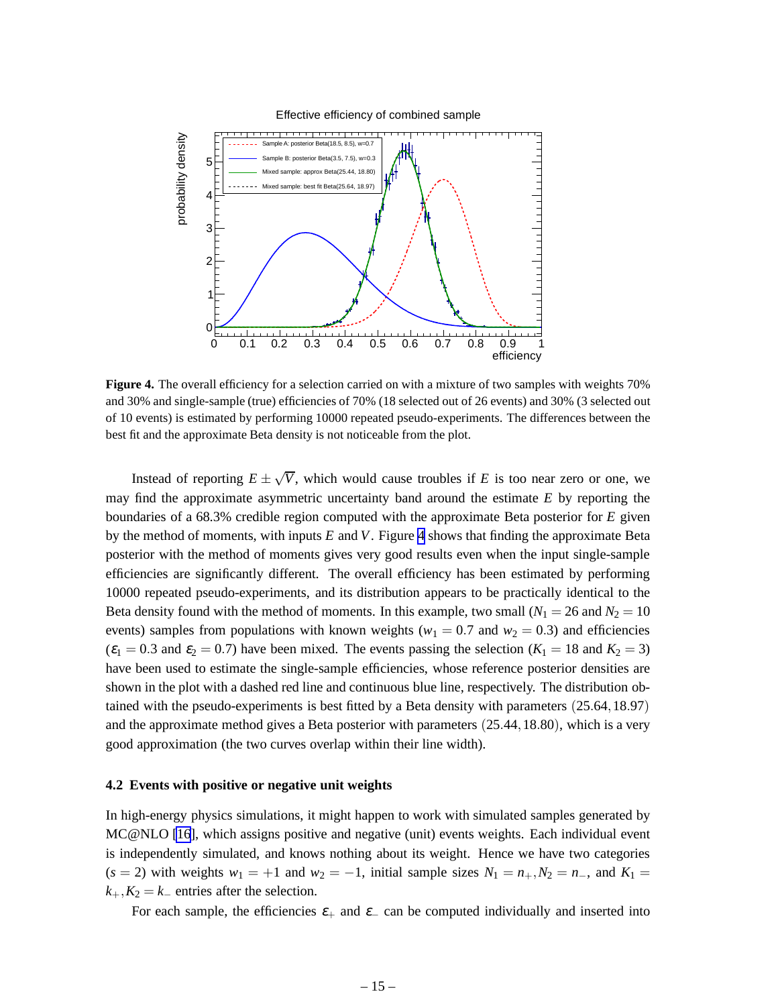<span id="page-15-0"></span>

**Figure 4.** The overall efficiency for a selection carried on with a mixture of two samples with weights 70% and 30% and single-sample (true) efficiencies of 70% (18 selected out of 26 events) and 30% (3 selected out of 10 events) is estimated by performing 10000 repeated pseudo-experiments. The differences between the best fit and the approximate Beta density is not noticeable from the plot.

Instead of reporting  $E \pm \sqrt{V}$ , which would cause troubles if *E* is too near zero or one, we may find the approximate asymmetric uncertainty band around the estimate *E* by reporting the boundaries of a 68.3% credible region computed with the approximate Beta posterior for *E* given by the method of moments, with inputs *E* and *V*. Figure 4 shows that finding the approximate Beta posterior with the method of moments gives very good results even when the input single-sample efficiencies are significantly different. The overall efficiency has been estimated by performing 10000 repeated pseudo-experiments, and its distribution appears to be practically identical to the Beta density found with the method of moments. In this example, two small  $(N_1 = 26$  and  $N_2 = 10$ events) samples from populations with known weights ( $w_1 = 0.7$  and  $w_2 = 0.3$ ) and efficiencies  $(\varepsilon_1 = 0.3$  and  $\varepsilon_2 = 0.7$ ) have been mixed. The events passing the selection  $(K_1 = 18$  and  $K_2 = 3)$ have been used to estimate the single-sample efficiencies, whose reference posterior densities are shown in the plot with a dashed red line and continuous blue line, respectively. The distribution obtained with the pseudo-experiments is best fitted by a Beta density with parameters (25.64,18.97) and the approximate method gives a Beta posterior with parameters (25.44,18.80), which is a very good approximation (the two curves overlap within their line width).

## **4.2 Events with positive or negative unit weights**

In high-energy physics simulations, it might happen to work with simulated samples generated by MC@NLO [\[16](#page-21-0)], which assigns positive and negative (unit) events weights. Each individual event is independently simulated, and knows nothing about its weight. Hence we have two categories  $(s = 2)$  with weights  $w_1 = +1$  and  $w_2 = -1$ , initial sample sizes  $N_1 = n_+, N_2 = n_-,$  and  $K_1 =$  $k_+$ ,  $K_2 = k_$  entries after the selection.

For each sample, the efficiencies  $\varepsilon_+$  and  $\varepsilon_-$  can be computed individually and inserted into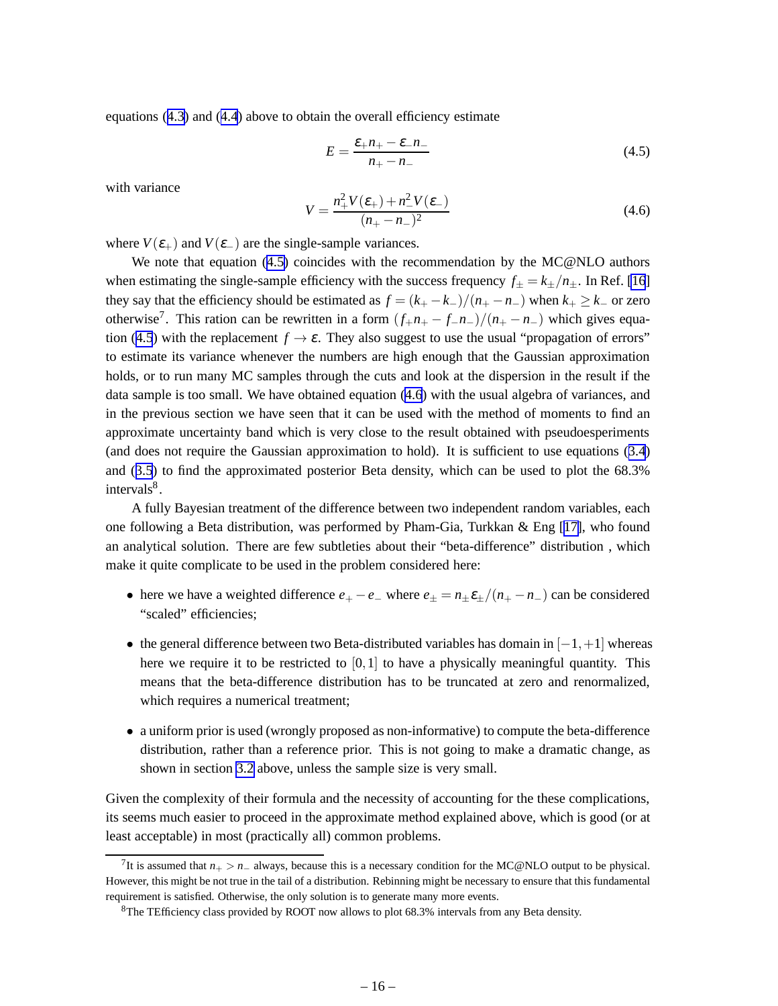equations ([4.3](#page-14-0)) and ([4.4](#page-14-0)) above to obtain the overall efficiency estimate

$$
E = \frac{\varepsilon_{+} n_{+} - \varepsilon_{-} n_{-}}{n_{+} - n_{-}} \tag{4.5}
$$

with variance

$$
V = \frac{n_+^2 V(\varepsilon_+) + n_-^2 V(\varepsilon_-)}{(n_+ - n_-)^2}
$$
(4.6)

where  $V(\varepsilon_+)$  and  $V(\varepsilon_-)$  are the single-sample variances.

We note that equation (4.5) coincides with the recommendation by the MC@NLO authors when estimating the single-sample efficiency with the success frequency  $f_{\pm} = k_{\pm}/n_{\pm}$ . In Ref. [\[16](#page-21-0)] they say that the efficiency should be estimated as  $f = (k_{+} - k_{-})/(n_{+} - n_{-})$  when  $k_{+} \ge k_{-}$  or zero otherwise<sup>7</sup>. This ration can be rewritten in a form  $(f_+n_+ - f_-n_-)/(n_+ - n_-)$  which gives equation (4.5) with the replacement  $f \rightarrow \varepsilon$ . They also suggest to use the usual "propagation of errors" to estimate its variance whenever the numbers are high enough that the Gaussian approximation holds, or to run many MC samples through the cuts and look at the dispersion in the result if the data sample is too small. We have obtained equation (4.6) with the usual algebra of variances, and in the previous section we have seen that it can be used with the method of moments to find an approximate uncertainty band which is very close to the result obtained with pseudoesperiments (and does not require the Gaussian approximation to hold). It is sufficient to use equations ([3.4](#page-6-0)) and ([3.5](#page-6-0)) to find the approximated posterior Beta density, which can be used to plot the 68.3% intervals<sup>8</sup>.

A fully Bayesian treatment of the difference between two independent random variables, each one following a Beta distribution, was performed by Pham-Gia, Turkkan & Eng [[17\]](#page-21-0), who found an analytical solution. There are few subtleties about their "beta-difference" distribution , which make it quite complicate to be used in the problem considered here:

- here we have a weighted difference  $e_{+} e_{-}$  where  $e_{+} = n_{+} \varepsilon_{+}/(n_{+} n_{-})$  can be considered "scaled" efficiencies;
- the general difference between two Beta-distributed variables has domain in  $[-1, +1]$  whereas here we require it to be restricted to  $[0,1]$  to have a physically meaningful quantity. This means that the beta-difference distribution has to be truncated at zero and renormalized, which requires a numerical treatment;
- a uniform prior is used (wrongly proposed as non-informative) to compute the beta-difference distribution, rather than a reference prior. This is not going to make a dramatic change, as shown in section [3.2](#page-6-0) above, unless the sample size is very small.

Given the complexity of their formula and the necessity of accounting for the these complications, its seems much easier to proceed in the approximate method explained above, which is good (or at least acceptable) in most (practically all) common problems.

<sup>&</sup>lt;sup>7</sup>It is assumed that  $n_+ > n_-$  always, because this is a necessary condition for the MC@NLO output to be physical. However, this might be not true in the tail of a distribution. Rebinning might be necessary to ensure that this fundamental requirement is satisfied. Otherwise, the only solution is to generate many more events.

<sup>&</sup>lt;sup>8</sup>The TEfficiency class provided by ROOT now allows to plot 68.3% intervals from any Beta density.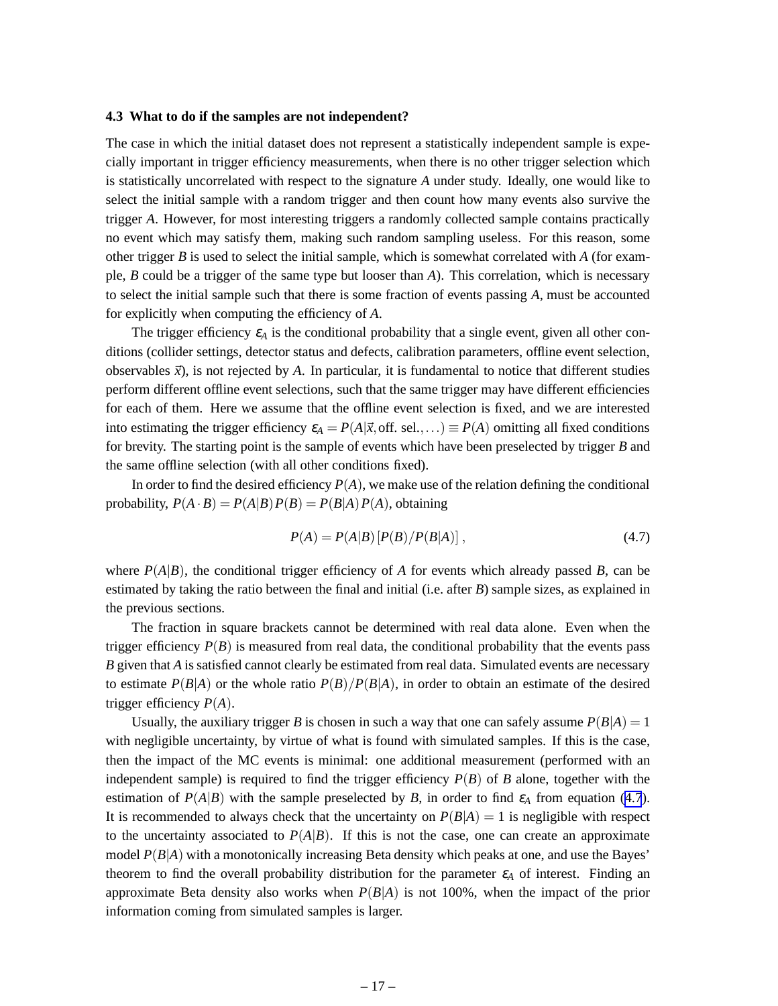#### <span id="page-17-0"></span>**4.3 What to do if the samples are not independent?**

The case in which the initial dataset does not represent a statistically independent sample is expecially important in trigger efficiency measurements, when there is no other trigger selection which is statistically uncorrelated with respect to the signature *A* under study. Ideally, one would like to select the initial sample with a random trigger and then count how many events also survive the trigger *A*. However, for most interesting triggers a randomly collected sample contains practically no event which may satisfy them, making such random sampling useless. For this reason, some other trigger *B* is used to select the initial sample, which is somewhat correlated with *A* (for example, *B* could be a trigger of the same type but looser than *A*). This correlation, which is necessary to select the initial sample such that there is some fraction of events passing *A*, must be accounted for explicitly when computing the efficiency of *A*.

The trigger efficiency  $\varepsilon_A$  is the conditional probability that a single event, given all other conditions (collider settings, detector status and defects, calibration parameters, offline event selection, observables  $\vec{x}$ ), is not rejected by A. In particular, it is fundamental to notice that different studies perform different offline event selections, such that the same trigger may have different efficiencies for each of them. Here we assume that the offline event selection is fixed, and we are interested into estimating the trigger efficiency  $\varepsilon_A = P(A|\vec{x}, \text{off. sel.},...) \equiv P(A)$  omitting all fixed conditions for brevity. The starting point is the sample of events which have been preselected by trigger *B* and the same offline selection (with all other conditions fixed).

In order to find the desired efficiency  $P(A)$ , we make use of the relation defining the conditional probability,  $P(A \cdot B) = P(A|B)P(B) = P(B|A)P(A)$ , obtaining

$$
P(A) = P(A|B) [P(B)/P(B|A)],
$$
\n(4.7)

where  $P(A|B)$ , the conditional trigger efficiency of A for events which already passed B, can be estimated by taking the ratio between the final and initial (i.e. after *B*) sample sizes, as explained in the previous sections.

The fraction in square brackets cannot be determined with real data alone. Even when the trigger efficiency  $P(B)$  is measured from real data, the conditional probability that the events pass *B* given that *A* is satisfied cannot clearly be estimated from real data. Simulated events are necessary to estimate  $P(B|A)$  or the whole ratio  $P(B)/P(B|A)$ , in order to obtain an estimate of the desired trigger efficiency *P*(*A*).

Usually, the auxiliary trigger *B* is chosen in such a way that one can safely assume  $P(B|A) = 1$ with negligible uncertainty, by virtue of what is found with simulated samples. If this is the case, then the impact of the MC events is minimal: one additional measurement (performed with an independent sample) is required to find the trigger efficiency  $P(B)$  of *B* alone, together with the estimation of  $P(A|B)$  with the sample preselected by *B*, in order to find  $\varepsilon_A$  from equation (4.7). It is recommended to always check that the uncertainty on  $P(B|A) = 1$  is negligible with respect to the uncertainty associated to  $P(A|B)$ . If this is not the case, one can create an approximate model  $P(B|A)$  with a monotonically increasing Beta density which peaks at one, and use the Bayes' theorem to find the overall probability distribution for the parameter <sup>ε</sup>*<sup>A</sup>* of interest. Finding an approximate Beta density also works when  $P(B|A)$  is not 100%, when the impact of the prior information coming from simulated samples is larger.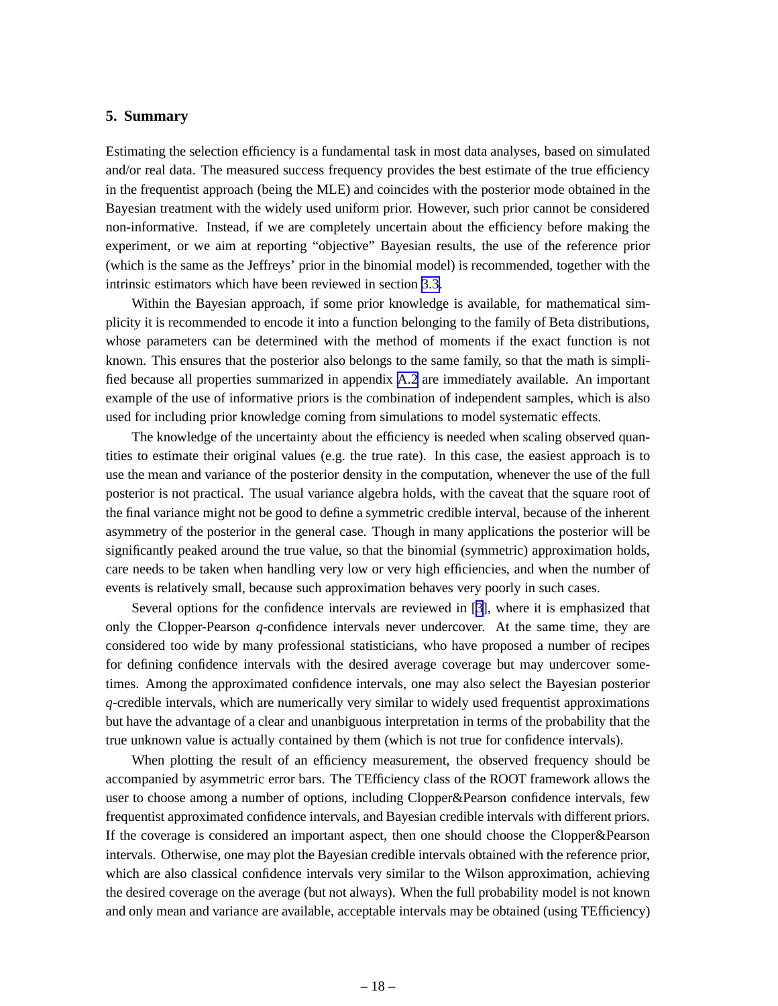## <span id="page-18-0"></span>**5. Summary**

Estimating the selection efficiency is a fundamental task in most data analyses, based on simulated and/or real data. The measured success frequency provides the best estimate of the true efficiency in the frequentist approach (being the MLE) and coincides with the posterior mode obtained in the Bayesian treatment with the widely used uniform prior. However, such prior cannot be considered non-informative. Instead, if we are completely uncertain about the efficiency before making the experiment, or we aim at reporting "objective" Bayesian results, the use of the reference prior (which is the same as the Jeffreys' prior in the binomial model) is recommended, together with the intrinsic estimators which have been reviewed in section [3.3.](#page-8-0)

Within the Bayesian approach, if some prior knowledge is available, for mathematical simplicity it is recommended to encode it into a function belonging to the family of Beta distributions, whose parameters can be determined with the method of moments if the exact function is not known. This ensures that the posterior also belongs to the same family, so that the math is simplified because all properties summarized in appendix [A.2](#page-19-0) are immediately available. An important example of the use of informative priors is the combination of independent samples, which is also used for including prior knowledge coming from simulations to model systematic effects.

The knowledge of the uncertainty about the efficiency is needed when scaling observed quantities to estimate their original values (e.g. the true rate). In this case, the easiest approach is to use the mean and variance of the posterior density in the computation, whenever the use of the full posterior is not practical. The usual variance algebra holds, with the caveat that the square root of the final variance might not be good to define a symmetric credible interval, because of the inherent asymmetry of the posterior in the general case. Though in many applications the posterior will be significantly peaked around the true value, so that the binomial (symmetric) approximation holds, care needs to be taken when handling very low or very high efficiencies, and when the number of events is relatively small, because such approximation behaves very poorly in such cases.

Several options for the confidence intervals are reviewed in [[3](#page-21-0)], where it is emphasized that only the Clopper-Pearson *q*-confidence intervals never undercover. At the same time, they are considered too wide by many professional statisticians, who have proposed a number of recipes for defining confidence intervals with the desired average coverage but may undercover sometimes. Among the approximated confidence intervals, one may also select the Bayesian posterior *q*-credible intervals, which are numerically very similar to widely used frequentist approximations but have the advantage of a clear and unanbiguous interpretation in terms of the probability that the true unknown value is actually contained by them (which is not true for confidence intervals).

When plotting the result of an efficiency measurement, the observed frequency should be accompanied by asymmetric error bars. The TEfficiency class of the ROOT framework allows the user to choose among a number of options, including Clopper&Pearson confidence intervals, few frequentist approximated confidence intervals, and Bayesian credible intervals with different priors. If the coverage is considered an important aspect, then one should choose the Clopper&Pearson intervals. Otherwise, one may plot the Bayesian credible intervals obtained with the reference prior, which are also classical confidence intervals very similar to the Wilson approximation, achieving the desired coverage on the average (but not always). When the full probability model is not known and only mean and variance are available, acceptable intervals may be obtained (using TEfficiency)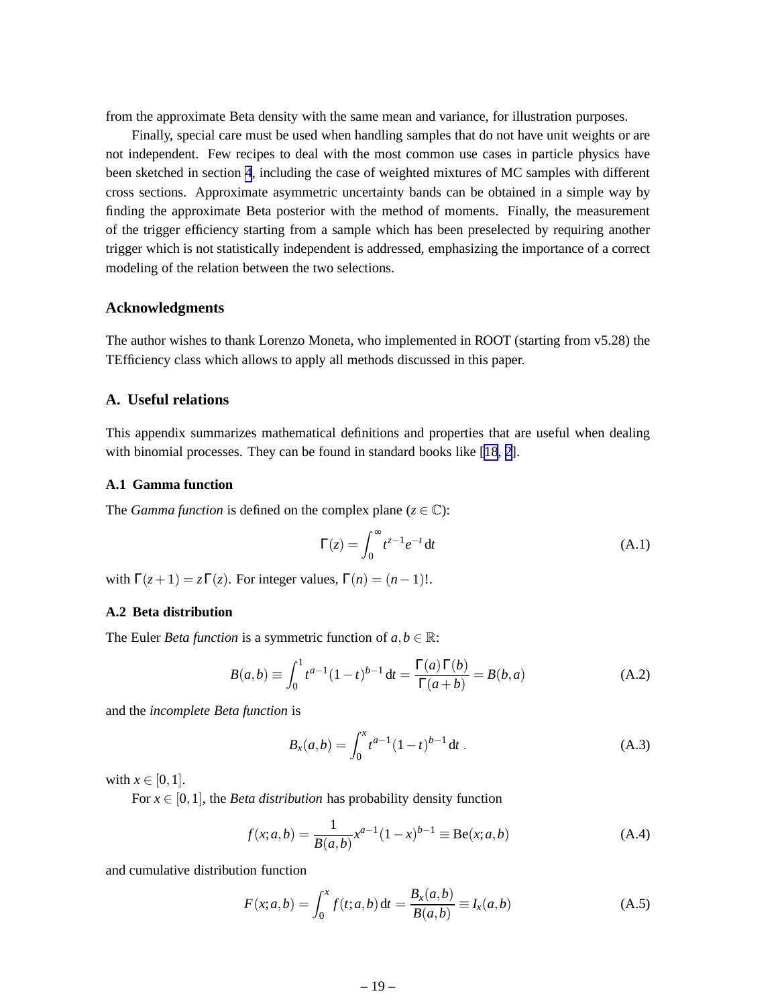<span id="page-19-0"></span>from the approximate Beta density with the same mean and variance, for illustration purposes.

Finally, special care must be used when handling samples that do not have unit weights or are not independent. Few recipes to deal with the most common use cases in particle physics have been sketched in section [4](#page-12-0), including the case of weighted mixtures of MC samples with different cross sections. Approximate asymmetric uncertainty bands can be obtained in a simple way by finding the approximate Beta posterior with the method of moments. Finally, the measurement of the trigger efficiency starting from a sample which has been preselected by requiring another trigger which is not statistically independent is addressed, emphasizing the importance of a correct modeling of the relation between the two selections.

## **Acknowledgments**

The author wishes to thank Lorenzo Moneta, who implemented in ROOT (starting from v5.28) the TEfficiency class which allows to apply all methods discussed in this paper.

# **A. Useful relations**

This appendix summarizes mathematical definitions and properties that are useful when dealing with binomial processes. They can be found in standard books like [\[18](#page-21-0), [2\]](#page-21-0).

## **A.1 Gamma function**

The *Gamma function* is defined on the complex plane ( $z \in \mathbb{C}$ ):

$$
\Gamma(z) = \int_0^\infty t^{z-1} e^{-t} dt
$$
\n(A.1)

with  $\Gamma(z+1) = z\Gamma(z)$ . For integer values,  $\Gamma(n) = (n-1)!$ .

## **A.2 Beta distribution**

The Euler *Beta function* is a symmetric function of  $a, b \in \mathbb{R}$ :

$$
B(a,b) \equiv \int_0^1 t^{a-1} (1-t)^{b-1} dt = \frac{\Gamma(a)\Gamma(b)}{\Gamma(a+b)} = B(b,a)
$$
 (A.2)

and the *incomplete Beta function* is

$$
B_x(a,b) = \int_0^x t^{a-1} (1-t)^{b-1} dt.
$$
 (A.3)

with  $x \in [0,1]$ .

For  $x \in [0,1]$ , the *Beta distribution* has probability density function

$$
f(x;a,b) = \frac{1}{B(a,b)} x^{a-1} (1-x)^{b-1} \equiv \text{Be}(x;a,b)
$$
 (A.4)

and cumulative distribution function

$$
F(x;a,b) = \int_0^x f(t;a,b) dt = \frac{B_x(a,b)}{B(a,b)} \equiv I_x(a,b)
$$
 (A.5)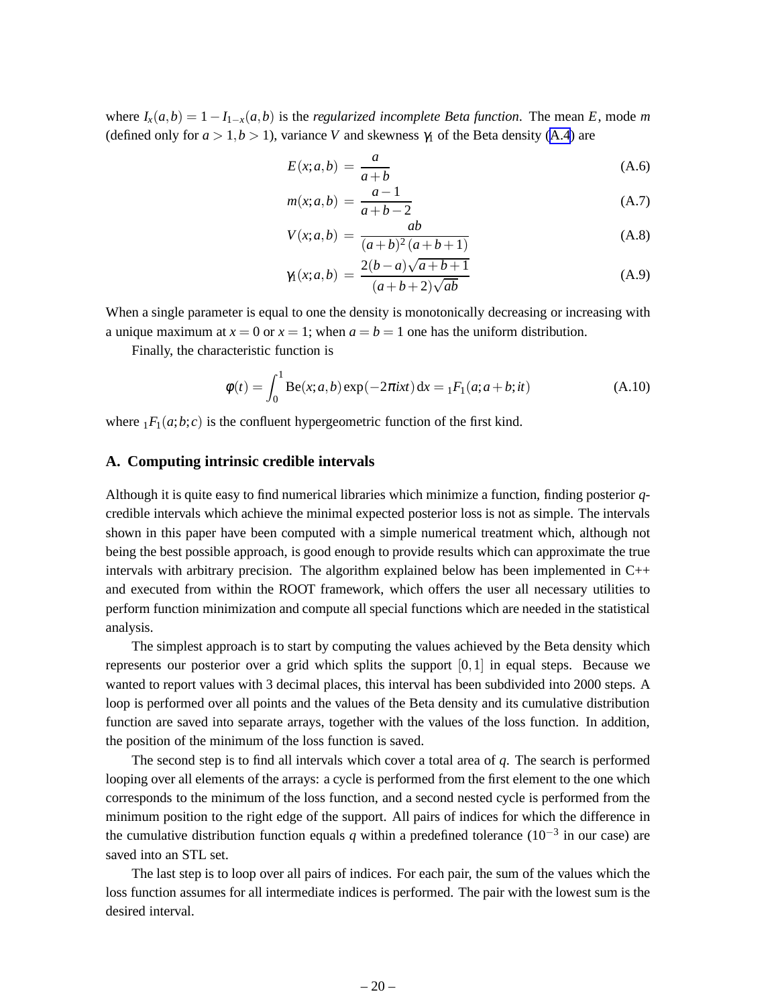<span id="page-20-0"></span>where  $I_x(a,b) = 1 - I_{1-x}(a,b)$  is the *regularized incomplete Beta function*. The mean *E*, mode *m* (defined only for  $a > 1, b > 1$ ), variance *V* and skewness  $\gamma_1$  of the Beta density ([A.4](#page-19-0)) are

$$
E(x;a,b) = \frac{a}{a+b} \tag{A.6}
$$

$$
m(x;a,b) = \frac{a-1}{a+b-2}
$$
 (A.7)

$$
V(x;a,b) = \frac{ab}{(a+b)^2(a+b+1)}
$$
 (A.8)

$$
\gamma_1(x;a,b) = \frac{2(b-a)\sqrt{a+b+1}}{(a+b+2)\sqrt{ab}}
$$
\n(A.9)

When a single parameter is equal to one the density is monotonically decreasing or increasing with a unique maximum at  $x = 0$  or  $x = 1$ ; when  $a = b = 1$  one has the uniform distribution.

Finally, the characteristic function is

$$
\phi(t) = \int_0^1 \text{Be}(x; a, b) \exp(-2\pi ixt) \, dx = {}_1F_1(a; a+b; it)
$$
\n(A.10)

where  $_1F_1(a;b;c)$  is the confluent hypergeometric function of the first kind.

## **A. Computing intrinsic credible intervals**

Although it is quite easy to find numerical libraries which minimize a function, finding posterior *q*credible intervals which achieve the minimal expected posterior loss is not as simple. The intervals shown in this paper have been computed with a simple numerical treatment which, although not being the best possible approach, is good enough to provide results which can approximate the true intervals with arbitrary precision. The algorithm explained below has been implemented in C++ and executed from within the ROOT framework, which offers the user all necessary utilities to perform function minimization and compute all special functions which are needed in the statistical analysis.

The simplest approach is to start by computing the values achieved by the Beta density which represents our posterior over a grid which splits the support  $[0,1]$  in equal steps. Because we wanted to report values with 3 decimal places, this interval has been subdivided into 2000 steps. A loop is performed over all points and the values of the Beta density and its cumulative distribution function are saved into separate arrays, together with the values of the loss function. In addition, the position of the minimum of the loss function is saved.

The second step is to find all intervals which cover a total area of *q*. The search is performed looping over all elements of the arrays: a cycle is performed from the first element to the one which corresponds to the minimum of the loss function, and a second nested cycle is performed from the minimum position to the right edge of the support. All pairs of indices for which the difference in the cumulative distribution function equals *q* within a predefined tolerance (10−<sup>3</sup> in our case) are saved into an STL set.

The last step is to loop over all pairs of indices. For each pair, the sum of the values which the loss function assumes for all intermediate indices is performed. The pair with the lowest sum is the desired interval.